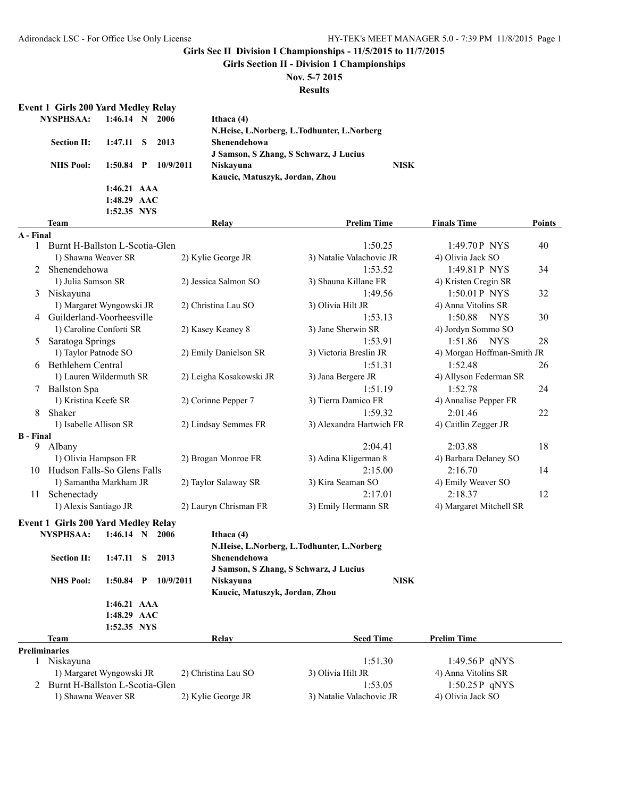**Girls Section II - Division 1 Championships**

## **Nov. 5-7 2015**

**Results**

#### **Event 1 Girls 200 Yard Medley Relay**

| <b>NYSPHSAA:</b>   | $1:46.14$ N   | 2006      | Ithaca $(4)$                               |             |
|--------------------|---------------|-----------|--------------------------------------------|-------------|
|                    |               |           | N.Heise, L.Norberg, L.Todhunter, L.Norberg |             |
| <b>Section II:</b> | 1:47.11 S     | 2013      | <b>Shenendehowa</b>                        |             |
|                    |               |           | J Samson, S Zhang, S Schwarz, J Lucius     |             |
| <b>NHS Pool:</b>   | $1:50.84$ P   | 10/9/2011 | Niskayuna                                  | <b>NISK</b> |
|                    |               |           | Kaucic, Matuszyk, Jordan, Zhou             |             |
|                    | $1:46.21$ AAA |           |                                            |             |
|                    | $1:48.29$ AAC |           |                                            |             |
|                    | 1:52.35 NYS   |           |                                            |             |

|                  | <b>Team</b>                    | <b>Relay</b>            | <b>Prelim Time</b>       | <b>Finals Time</b>         | <b>Points</b> |
|------------------|--------------------------------|-------------------------|--------------------------|----------------------------|---------------|
| A - Final        |                                |                         |                          |                            |               |
|                  | Burnt H-Ballston L-Scotia-Glen |                         | 1:50.25                  | 1:49.70P NYS               | 40            |
|                  | 1) Shawna Weaver SR            | 2) Kylie George JR      | 3) Natalie Valachovic JR | 4) Olivia Jack SO          |               |
| $\overline{2}$   | Shenendehowa                   |                         | 1:53.52                  | 1:49.81 P NYS              | 34            |
|                  | 1) Julia Samson SR             | 2) Jessica Salmon SO    | 3) Shauna Killane FR     | 4) Kristen Cregin SR       |               |
| 3                | Niskayuna                      |                         | 1:49.56                  | 1:50.01 P NYS              | 32            |
|                  | 1) Margaret Wyngowski JR       | 2) Christina Lau SO     | 3) Olivia Hilt JR        | 4) Anna Vitolins SR        |               |
| 4                | Guilderland-Voorheesville      |                         | 1:53.13                  | 1:50.88<br><b>NYS</b>      | 30            |
|                  | 1) Caroline Conforti SR        | 2) Kasey Keaney 8       | 3) Jane Sherwin SR       | 4) Jordyn Sommo SO         |               |
| 5                | Saratoga Springs               |                         | 1:53.91                  | 1:51.86<br><b>NYS</b>      | 28            |
|                  | 1) Taylor Patnode SO           | 2) Emily Danielson SR   | 3) Victoria Breslin JR   | 4) Morgan Hoffman-Smith JR |               |
| 6                | Bethlehem Central              |                         | 1:51.31                  | 1:52.48                    | 26            |
|                  | 1) Lauren Wildermuth SR        | 2) Leigha Kosakowski JR | 3) Jana Bergere JR       | 4) Allyson Federman SR     |               |
| 7                | <b>Ballston Spa</b>            |                         | 1:51.19                  | 1:52.78                    | 24            |
|                  | 1) Kristina Keefe SR           | 2) Corinne Pepper 7     | 3) Tierra Damico FR      | 4) Annalise Pepper FR      |               |
| 8                | Shaker                         |                         | 1:59.32                  | 2:01.46                    | 22            |
|                  | 1) Isabelle Allison SR         | 2) Lindsay Semmes FR    | 3) Alexandra Hartwich FR | 4) Caitlin Zegger JR       |               |
| <b>B</b> - Final |                                |                         |                          |                            |               |
| 9                | Albany                         |                         | 2:04.41                  | 2:03.88                    | 18            |
|                  | 1) Olivia Hampson FR           | 2) Brogan Monroe FR     | 3) Adina Kligerman 8     | 4) Barbara Delaney SO      |               |
| 10               | Hudson Falls-So Glens Falls    |                         | 2:15.00                  | 2:16.70                    | 14            |
|                  | 1) Samantha Markham JR         | 2) Taylor Salaway SR    | 3) Kira Seaman SO        | 4) Emily Weaver SO         |               |
| 11               | Schenectady                    |                         | 2:17.01                  | 2:18.37                    | 12            |
|                  | 1) Alexis Santiago JR          | 2) Lauryn Chrisman FR   | 3) Emily Hermann SR      | 4) Margaret Mitchell SR    |               |

#### **Event 1 Girls 200 Yard Medley Relay**

| <b>NYSPHSAA:</b>                 | 1:46.14       |   | 2006      | Ithaca $(4)$                   |                                            |                     |
|----------------------------------|---------------|---|-----------|--------------------------------|--------------------------------------------|---------------------|
|                                  |               |   |           |                                | N.Heise, L.Norberg, L.Todhunter, L.Norberg |                     |
| <b>Section II:</b>               | 1:47.11       | S | 2013      | <b>Shenendehowa</b>            |                                            |                     |
|                                  |               |   |           |                                | J Samson, S Zhang, S Schwarz, J Lucius     |                     |
| <b>NHS Pool:</b>                 | 1:50.84       | P | 10/9/2011 | Niskayuna                      | <b>NISK</b>                                |                     |
|                                  |               |   |           | Kaucic, Matuszyk, Jordan, Zhou |                                            |                     |
|                                  | $1:46.21$ AAA |   |           |                                |                                            |                     |
|                                  | 1:48.29 AAC   |   |           |                                |                                            |                     |
|                                  | 1:52.35 NYS   |   |           |                                |                                            |                     |
| Team                             |               |   |           | Relay                          | <b>Seed Time</b>                           | <b>Prelim Time</b>  |
| <b>Preliminaries</b>             |               |   |           |                                |                                            |                     |
| Niskayuna                        |               |   |           |                                | 1:51.30                                    | $1:49.56P$ qNYS     |
| 1) Margaret Wyngowski JR         |               |   |           | 2) Christina Lau SO            | 3) Olivia Hilt JR                          | 4) Anna Vitolins SR |
| 2 Burnt H-Ballston L-Scotia-Glen |               |   |           |                                | 1:53.05                                    | $1:50.25P$ aNYS     |

1) Shawna Weaver SR 2) Kylie George JR 3) Natalie Valachovic JR 4) Olivia Jack SO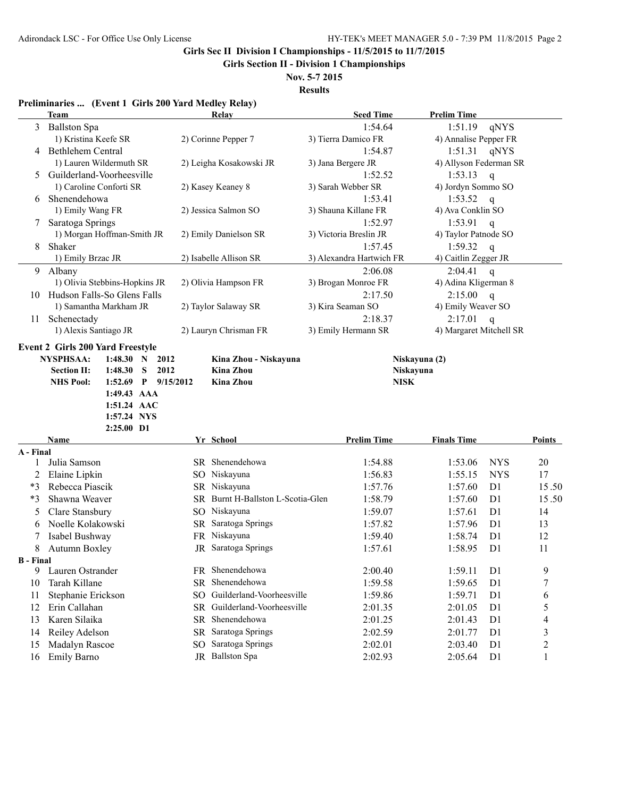**Girls Section II - Division 1 Championships**

**Nov. 5-7 2015 Results**

#### **Preliminaries ... (Event 1 Girls 200 Yard Medley Relay)**

|                  | <b>Team</b>                                                                                                                                                     |     | Relay                                | <b>Seed Time</b>         | <b>Prelim Time</b>      |                |        |
|------------------|-----------------------------------------------------------------------------------------------------------------------------------------------------------------|-----|--------------------------------------|--------------------------|-------------------------|----------------|--------|
| 3                | <b>Ballston Spa</b>                                                                                                                                             |     |                                      | 1:54.64                  | 1:51.19                 | qNYS           |        |
|                  | 1) Kristina Keefe SR                                                                                                                                            |     | 2) Corinne Pepper 7                  | 3) Tierra Damico FR      | 4) Annalise Pepper FR   |                |        |
| 4                | Bethlehem Central                                                                                                                                               |     |                                      | 1:54.87                  | 1:51.31                 | qNYS           |        |
|                  | 1) Lauren Wildermuth SR                                                                                                                                         |     | 2) Leigha Kosakowski JR              | 3) Jana Bergere JR       | 4) Allyson Federman SR  |                |        |
| 5                | Guilderland-Voorheesville                                                                                                                                       |     |                                      | 1:52.52                  | 1:53.13                 | $\overline{q}$ |        |
|                  | 1) Caroline Conforti SR                                                                                                                                         |     | 2) Kasey Keaney 8                    | 3) Sarah Webber SR       | 4) Jordyn Sommo SO      |                |        |
| 6                | Shenendehowa                                                                                                                                                    |     |                                      | 1:53.41                  | 1:53.52                 | $\mathbf{q}$   |        |
|                  | 1) Emily Wang FR                                                                                                                                                |     | 2) Jessica Salmon SO                 | 3) Shauna Killane FR     | 4) Ava Conklin SO       |                |        |
| 7                | Saratoga Springs                                                                                                                                                |     |                                      | 1:52.97                  | 1:53.91                 | $\mathbf{q}$   |        |
|                  | 1) Morgan Hoffman-Smith JR                                                                                                                                      |     | 2) Emily Danielson SR                | 3) Victoria Breslin JR   | 4) Taylor Patnode SO    |                |        |
| 8                | Shaker                                                                                                                                                          |     |                                      | 1:57.45                  | 1:59.32                 | $\mathbf{q}$   |        |
|                  | 1) Emily Brzac JR                                                                                                                                               |     | 2) Isabelle Allison SR               | 3) Alexandra Hartwich FR | 4) Caitlin Zegger JR    |                |        |
| 9                | Albany                                                                                                                                                          |     |                                      | 2:06.08                  | 2:04.41                 | $\mathsf{q}$   |        |
|                  | 1) Olivia Stebbins-Hopkins JR                                                                                                                                   |     | 2) Olivia Hampson FR                 | 3) Brogan Monroe FR      | 4) Adina Kligerman 8    |                |        |
| 10               | Hudson Falls-So Glens Falls                                                                                                                                     |     |                                      | 2:17.50                  | $2:15.00$ q             |                |        |
|                  | 1) Samantha Markham JR                                                                                                                                          |     | 2) Taylor Salaway SR                 | 3) Kira Seaman SO        | 4) Emily Weaver SO      |                |        |
| 11               | Schenectady                                                                                                                                                     |     |                                      | 2:18.37                  | 2:17.01                 | $\mathsf{q}$   |        |
|                  | 1) Alexis Santiago JR                                                                                                                                           |     | 2) Lauryn Chrisman FR                | 3) Emily Hermann SR      | 4) Margaret Mitchell SR |                |        |
|                  | <b>Section II:</b><br>1:48.30<br>S<br>2012<br><b>NHS Pool:</b><br>1:52.69<br>$P = \frac{9}{15/2012}$<br>1:49.43 AAA<br>1:51.24 AAC<br>1:57.24 NYS<br>2:25.00 D1 |     | <b>Kina Zhou</b><br><b>Kina Zhou</b> | Niskayuna<br><b>NISK</b> |                         |                |        |
|                  | Name                                                                                                                                                            |     | Yr School                            | <b>Prelim Time</b>       | <b>Finals Time</b>      |                | Points |
| A - Final<br>1   | Julia Samson                                                                                                                                                    |     | SR Shenendehowa                      | 1:54.88                  | 1:53.06                 | <b>NYS</b>     | 20     |
| 2                | Elaine Lipkin                                                                                                                                                   |     | SO Niskayuna                         | 1:56.83                  | 1:55.15                 | <b>NYS</b>     | 17     |
| $*3$             | Rebecca Piascik                                                                                                                                                 |     | SR Niskayuna                         | 1:57.76                  | 1:57.60                 | D <sub>1</sub> | 15.50  |
| $*3$             | Shawna Weaver                                                                                                                                                   |     | SR Burnt H-Ballston L-Scotia-Glen    | 1:58.79                  | 1:57.60                 | D1             | 15.50  |
| 5                | Clare Stansbury                                                                                                                                                 |     | SO Niskayuna                         | 1:59.07                  | 1:57.61                 | D <sub>1</sub> | 14     |
| 6                | Noelle Kolakowski                                                                                                                                               |     | SR Saratoga Springs                  | 1:57.82                  | 1:57.96                 | D1             | 13     |
| 7                | Isabel Bushway                                                                                                                                                  |     | FR Niskayuna                         | 1:59.40                  | 1:58.74                 | D <sub>1</sub> | 12     |
| 8                | <b>Autumn Boxley</b>                                                                                                                                            |     | JR Saratoga Springs                  | 1:57.61                  | 1:58.95                 | D <sub>1</sub> | 11     |
| <b>B</b> - Final |                                                                                                                                                                 |     |                                      |                          |                         |                |        |
| 9                | Lauren Ostrander                                                                                                                                                |     | FR Shenendehowa                      | 2:00.40                  | 1:59.11                 | D1             | 9      |
| 10               | Tarah Killane                                                                                                                                                   |     | SR Shenendehowa                      | 1:59.58                  | 1:59.65                 | D1             | 7      |
| 11               | Stephanie Erickson                                                                                                                                              | SO. | Guilderland-Voorheesville            | 1:59.86                  | 1:59.71                 | D1             | 6      |
| 12               | Erin Callahan                                                                                                                                                   |     | SR Guilderland-Voorheesville         | 2:01.35                  | 2:01.05                 | D1             | 5      |
| 13               | Karen Silaika                                                                                                                                                   |     | SR Shenendehowa                      | 2:01.25                  | 2:01.43                 | D1             | 4      |
| 14               | Reiley Adelson                                                                                                                                                  |     | SR Saratoga Springs                  | 2:02.59                  | 2:01.77                 | D <sub>1</sub> | 3      |
| 15               | Madalyn Rascoe                                                                                                                                                  |     | SO Saratoga Springs                  | 2:02.01                  | 2:03.40                 | D1             | 2      |
| 16               | Emily Barno                                                                                                                                                     |     | JR Ballston Spa                      | 2:02.93                  | 2:05.64                 | D <sub>1</sub> |        |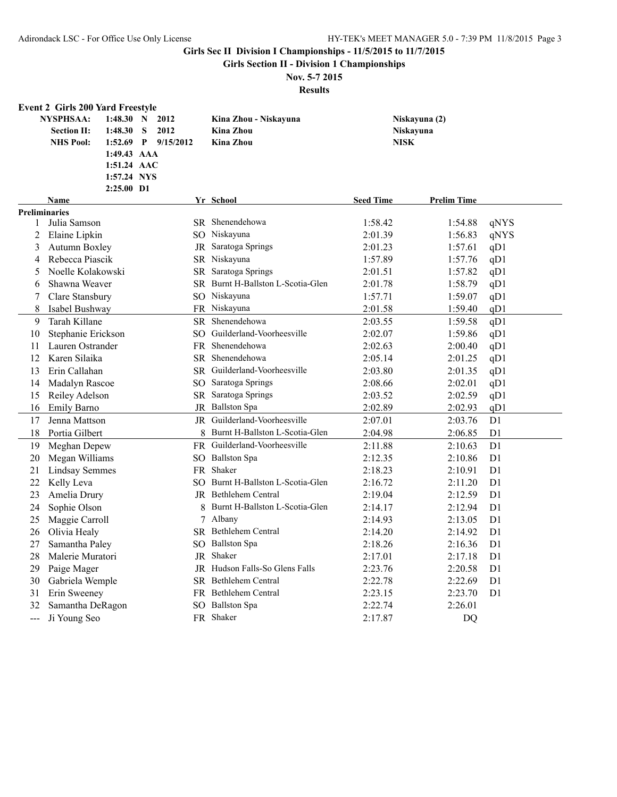**Girls Section II - Division 1 Championships**

# **Nov. 5-7 2015**

|                      | <b>Event 2 Girls 200 Yard Freestyle</b>                    |                                              |                                                               |   |                                                               |                  |                                           |                |
|----------------------|------------------------------------------------------------|----------------------------------------------|---------------------------------------------------------------|---|---------------------------------------------------------------|------------------|-------------------------------------------|----------------|
|                      | <b>NYSPHSAA:</b><br><b>Section II:</b><br><b>NHS Pool:</b> | 1:48.30<br>1:48.30<br>1:52.69<br>1:49.43 AAA | $\mathbf N$<br>2012<br>S<br>2012<br>$\mathbf{P}$<br>9/15/2012 |   | Kina Zhou - Niskayuna<br><b>Kina Zhou</b><br><b>Kina Zhou</b> |                  | Niskayuna (2)<br>Niskayuna<br><b>NISK</b> |                |
|                      |                                                            | 1:51.24 AAC                                  |                                                               |   |                                                               |                  |                                           |                |
|                      |                                                            | 1:57.24 NYS<br>2:25.00 D1                    |                                                               |   |                                                               |                  |                                           |                |
|                      | <b>Name</b>                                                |                                              |                                                               |   | Yr School                                                     | <b>Seed Time</b> | <b>Prelim Time</b>                        |                |
| <b>Preliminaries</b> |                                                            |                                              |                                                               |   |                                                               |                  |                                           |                |
| 1                    | Julia Samson                                               |                                              |                                                               |   | SR Shenendehowa                                               | 1:58.42          | 1:54.88                                   | qNYS           |
| 2                    | Elaine Lipkin                                              |                                              |                                                               |   | SO Niskayuna                                                  | 2:01.39          | 1:56.83                                   | qNYS           |
| 3                    | Autumn Boxley                                              |                                              |                                                               |   | JR Saratoga Springs                                           | 2:01.23          | 1:57.61                                   | qD1            |
| 4                    | Rebecca Piascik                                            |                                              |                                                               |   | SR Niskayuna                                                  | 1:57.89          | 1:57.76                                   | qD1            |
| 5                    | Noelle Kolakowski                                          |                                              |                                                               |   | SR Saratoga Springs                                           | 2:01.51          | 1:57.82                                   | qD1            |
| 6                    | Shawna Weaver                                              |                                              |                                                               |   | SR Burnt H-Ballston L-Scotia-Glen                             | 2:01.78          | 1:58.79                                   | qD1            |
| 7                    | Clare Stansbury                                            |                                              |                                                               |   | SO Niskayuna                                                  | 1:57.71          | 1:59.07                                   | qD1            |
| 8                    | Isabel Bushway                                             |                                              |                                                               |   | FR Niskayuna                                                  | 2:01.58          | 1:59.40                                   | qD1            |
| 9                    | Tarah Killane                                              |                                              | SR.                                                           |   | Shenendehowa                                                  | 2:03.55          | 1:59.58                                   | qD1            |
| 10                   | Stephanie Erickson                                         |                                              |                                                               |   | SO Guilderland-Voorheesville                                  | 2:02.07          | 1:59.86                                   | qD1            |
| 11                   | Lauren Ostrander                                           |                                              |                                                               |   | FR Shenendehowa                                               | 2:02.63          | 2:00.40                                   | qD1            |
| 12                   | Karen Silaika                                              |                                              |                                                               |   | SR Shenendehowa                                               | 2:05.14          | 2:01.25                                   | qD1            |
| 13                   | Erin Callahan                                              |                                              |                                                               |   | SR Guilderland-Voorheesville                                  | 2:03.80          | 2:01.35                                   | qD1            |
| 14                   | Madalyn Rascoe                                             |                                              |                                                               |   | SO Saratoga Springs                                           | 2:08.66          | 2:02.01                                   | qD1            |
| 15                   | Reiley Adelson                                             |                                              |                                                               |   | SR Saratoga Springs                                           | 2:03.52          | 2:02.59                                   | qD1            |
| 16                   | Emily Barno                                                |                                              |                                                               |   | JR Ballston Spa                                               | 2:02.89          | 2:02.93                                   | qD1            |
| 17                   | Jenna Mattson                                              |                                              |                                                               |   | <b>IR</b> Guilderland-Voorheesville                           | 2:07.01          | 2:03.76                                   | D <sub>1</sub> |
| 18                   | Portia Gilbert                                             |                                              |                                                               |   | 8 Burnt H-Ballston L-Scotia-Glen                              | 2:04.98          | 2:06.85                                   | D1             |
| 19                   | Meghan Depew                                               |                                              |                                                               |   | FR Guilderland-Voorheesville                                  | 2:11.88          | 2:10.63                                   | D <sub>1</sub> |
| 20                   | Megan Williams                                             |                                              |                                                               |   | SO Ballston Spa                                               | 2:12.35          | 2:10.86                                   | D1             |
| 21                   | <b>Lindsay Semmes</b>                                      |                                              |                                                               |   | FR Shaker                                                     | 2:18.23          | 2:10.91                                   | D <sub>1</sub> |
| 22                   | Kelly Leva                                                 |                                              |                                                               |   | SO Burnt H-Ballston L-Scotia-Glen                             | 2:16.72          | 2:11.20                                   | D <sub>1</sub> |
| 23                   | Amelia Drury                                               |                                              |                                                               |   | JR Bethlehem Central                                          | 2:19.04          | 2:12.59                                   | D <sub>1</sub> |
| 24                   | Sophie Olson                                               |                                              |                                                               | 8 | Burnt H-Ballston L-Scotia-Glen                                | 2:14.17          | 2:12.94                                   | D <sub>1</sub> |
| 25                   | Maggie Carroll                                             |                                              |                                                               |   | 7 Albany                                                      | 2:14.93          | 2:13.05                                   | D <sub>1</sub> |
| 26                   | Olivia Healy                                               |                                              |                                                               |   | SR Bethlehem Central                                          | 2:14.20          | 2:14.92                                   | D <sub>1</sub> |
| 27                   | Samantha Paley                                             |                                              |                                                               |   | SO Ballston Spa                                               | 2:18.26          | 2:16.36                                   | D <sub>1</sub> |
| 28                   | Malerie Muratori                                           |                                              |                                                               |   | JR Shaker                                                     | 2:17.01          | 2:17.18                                   | D <sub>1</sub> |
| 29                   | Paige Mager                                                |                                              |                                                               |   | JR Hudson Falls-So Glens Falls                                | 2:23.76          | 2:20.58                                   | D <sub>1</sub> |
| 30                   | Gabriela Wemple                                            |                                              |                                                               |   | SR Bethlehem Central                                          | 2:22.78          | 2:22.69                                   | D <sub>1</sub> |
| 31                   | Erin Sweeney                                               |                                              |                                                               |   | FR Bethlehem Central                                          | 2:23.15          | 2:23.70                                   | D1             |
| 32                   | Samantha DeRagon                                           |                                              |                                                               |   | SO Ballston Spa                                               | 2:22.74          | 2:26.01                                   |                |
| $---$                | Ji Young Seo                                               |                                              |                                                               |   | FR Shaker                                                     | 2:17.87          | DQ                                        |                |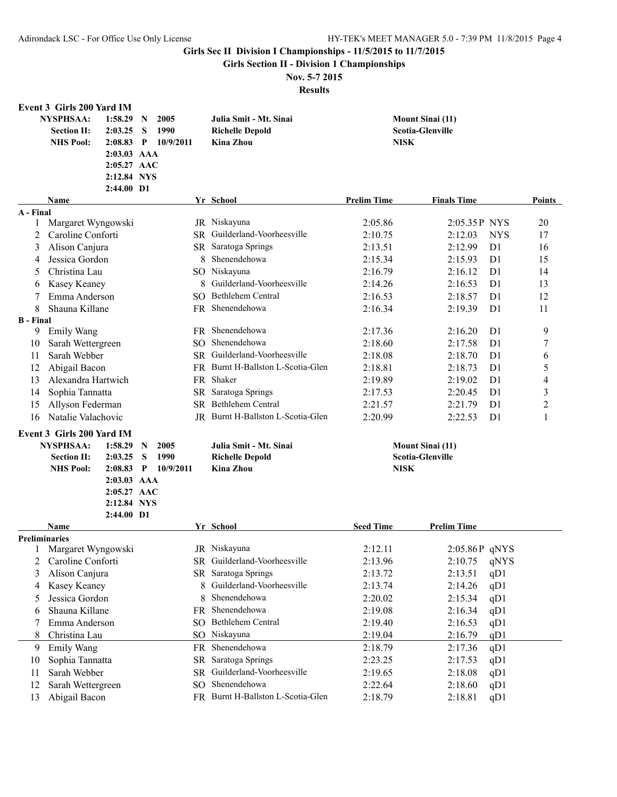**Girls Section II - Division 1 Championships**

## **Nov. 5-7 2015**

|                      | <b>Event 3 Girls 200 Yard IM</b> |               |              |           |                 |                                   |                    |                           |                                  |
|----------------------|----------------------------------|---------------|--------------|-----------|-----------------|-----------------------------------|--------------------|---------------------------|----------------------------------|
|                      | <b>NYSPHSAA:</b>                 | 1:58.29       | N            | 2005      |                 | Julia Smit - Mt. Sinai            |                    | <b>Mount Sinai (11)</b>   |                                  |
|                      | <b>Section II:</b>               | 2:03.25       | S            | 1990      |                 | <b>Richelle Depold</b>            |                    | <b>Scotia-Glenville</b>   |                                  |
|                      | <b>NHS Pool:</b>                 | 2:08.83       | $\mathbf{P}$ | 10/9/2011 |                 | <b>Kina Zhou</b>                  | <b>NISK</b>        |                           |                                  |
|                      |                                  | $2:03.03$ AAA |              |           |                 |                                   |                    |                           |                                  |
|                      |                                  | 2:05.27 AAC   |              |           |                 |                                   |                    |                           |                                  |
|                      |                                  | 2:12.84 NYS   |              |           |                 |                                   |                    |                           |                                  |
|                      |                                  |               |              |           |                 |                                   |                    |                           |                                  |
|                      |                                  | 2:44.00 D1    |              |           |                 |                                   |                    |                           |                                  |
|                      | Name                             |               |              |           |                 | Yr School                         | <b>Prelim Time</b> | <b>Finals Time</b>        | Points                           |
| A - Final            |                                  |               |              |           |                 |                                   |                    |                           |                                  |
| 1                    | Margaret Wyngowski               |               |              |           |                 | JR Niskayuna                      | 2:05.86            | 2:05.35P NYS              | 20                               |
| 2                    | Caroline Conforti                |               |              |           |                 | SR Guilderland-Voorheesville      | 2:10.75            | 2:12.03                   | <b>NYS</b><br>17                 |
| 3                    | Alison Canjura                   |               |              |           |                 | SR Saratoga Springs               | 2:13.51            | 2:12.99                   | D <sub>1</sub><br>16             |
| 4                    | Jessica Gordon                   |               |              |           | 8               | Shenendehowa                      | 2:15.34            | 2:15.93                   | 15<br>D <sub>1</sub>             |
| 5                    | Christina Lau                    |               |              |           |                 | SO Niskayuna                      | 2:16.79            | 2:16.12<br>D <sub>1</sub> | 14                               |
| 6                    | Kasey Keaney                     |               |              |           | 8               | Guilderland-Voorheesville         | 2:14.26            | 2:16.53                   | D1<br>13                         |
| 7                    | Emma Anderson                    |               |              |           |                 | SO Bethlehem Central              | 2:16.53            | 2:18.57                   | 12<br>D <sub>1</sub>             |
| 8                    | Shauna Killane                   |               |              |           |                 | FR Shenendehowa                   | 2:16.34            | 2:19.39                   | D1<br>11                         |
| <b>B</b> - Final     |                                  |               |              |           |                 |                                   |                    |                           |                                  |
| 9                    | <b>Emily Wang</b>                |               |              |           |                 | FR Shenendehowa                   | 2:17.36            | 2:16.20<br>D <sub>1</sub> | 9                                |
| 10                   | Sarah Wettergreen                |               |              |           | SO.             | Shenendehowa                      | 2:18.60            | D1<br>2:17.58             | $\boldsymbol{7}$                 |
| 11                   | Sarah Webber                     |               |              |           |                 | SR Guilderland-Voorheesville      | 2:18.08            | 2:18.70<br>D <sub>1</sub> | 6                                |
| 12                   | Abigail Bacon                    |               |              |           |                 | FR Burnt H-Ballston L-Scotia-Glen | 2:18.81            | 2:18.73<br>D <sub>1</sub> | 5                                |
| 13                   | Alexandra Hartwich               |               |              |           |                 | FR Shaker                         | 2:19.89            | 2:19.02<br>D <sub>1</sub> | $\overline{4}$                   |
| 14                   |                                  |               |              |           |                 | SR Saratoga Springs               | 2:17.53            | 2:20.45                   | 3<br>D <sub>1</sub>              |
|                      | Sophia Tannatta                  |               |              |           |                 | SR Bethlehem Central              |                    |                           |                                  |
| 15                   | Allyson Federman                 |               |              |           |                 |                                   | 2:21.57            | 2:21.79                   | $\overline{c}$<br>D <sub>1</sub> |
| 16                   | Natalie Valachovic               |               |              |           |                 | JR Burnt H-Ballston L-Scotia-Glen | 2:20.99            | 2:22.53                   | $\mathbf{1}$<br>D <sub>1</sub>   |
|                      | Event 3 Girls 200 Yard IM        |               |              |           |                 |                                   |                    |                           |                                  |
|                      | <b>NYSPHSAA:</b>                 | 1:58.29       | $\mathbf N$  | 2005      |                 | Julia Smit - Mt. Sinai            |                    | <b>Mount Sinai (11)</b>   |                                  |
|                      | <b>Section II:</b>               | 2:03.25       | S            | 1990      |                 | <b>Richelle Depold</b>            |                    | <b>Scotia-Glenville</b>   |                                  |
|                      | <b>NHS Pool:</b>                 | 2:08.83       | $\mathbf{P}$ | 10/9/2011 |                 | <b>Kina Zhou</b>                  | <b>NISK</b>        |                           |                                  |
|                      |                                  | 2:03.03 AAA   |              |           |                 |                                   |                    |                           |                                  |
|                      |                                  | 2:05.27 AAC   |              |           |                 |                                   |                    |                           |                                  |
|                      |                                  | 2:12.84 NYS   |              |           |                 |                                   |                    |                           |                                  |
|                      |                                  | 2:44.00 D1    |              |           |                 |                                   |                    |                           |                                  |
|                      | <b>Name</b>                      |               |              |           |                 | Yr School                         | <b>Seed Time</b>   | <b>Prelim Time</b>        |                                  |
| <b>Preliminaries</b> |                                  |               |              |           |                 |                                   |                    |                           |                                  |
|                      | 1 Margaret Wyngowski             |               |              |           |                 | JR Niskayuna                      | 2:12.11            | $2:05.86P$ qNYS           |                                  |
| 2                    | Caroline Conforti                |               |              |           |                 | SR Guilderland-Voorheesville      | 2:13.96            | 2:10.75                   | qNYS                             |
| 3                    | Alison Canjura                   |               |              |           |                 | SR Saratoga Springs               | 2:13.72            | 2:13.51                   | qD1                              |
| 4                    | Kasey Keaney                     |               |              |           | 8               | Guilderland-Voorheesville         | 2:13.74            | 2:14.26                   | qD1                              |
| 5                    | Jessica Gordon                   |               |              |           | 8               | Shenendehowa                      | 2:20.02            | 2:15.34                   | qD1                              |
| 6                    | Shauna Killane                   |               |              |           | <b>FR</b>       | Shenendehowa                      | 2:19.08            | 2:16.34                   | qD1                              |
| 7                    | Emma Anderson                    |               |              |           | SO <sub>1</sub> | Bethlehem Central                 | 2:19.40            | 2:16.53                   | qD1                              |
| 8                    | Christina Lau                    |               |              |           |                 | SO Niskayuna                      | 2:19.04            | 2:16.79                   | qD1                              |
| 9                    | Emily Wang                       |               |              |           | FR              | Shenendehowa                      | 2:18.79            | 2:17.36                   | qD1                              |
| 10                   | Sophia Tannatta                  |               |              |           | <b>SR</b>       | Saratoga Springs                  | 2:23.25            | 2:17.53                   | qD1                              |
| 11                   | Sarah Webber                     |               |              |           | <b>SR</b>       | Guilderland-Voorheesville         | 2:19.65            | 2:18.08                   | qD1                              |
|                      |                                  |               |              |           | SO <sub>1</sub> | Shenendehowa                      | 2:22.64            |                           |                                  |
| 12                   | Sarah Wettergreen                |               |              |           |                 |                                   |                    | 2:18.60                   | qD1                              |
| 13                   | Abigail Bacon                    |               |              |           |                 | FR Burnt H-Ballston L-Scotia-Glen | 2:18.79            | 2:18.81                   | qD1                              |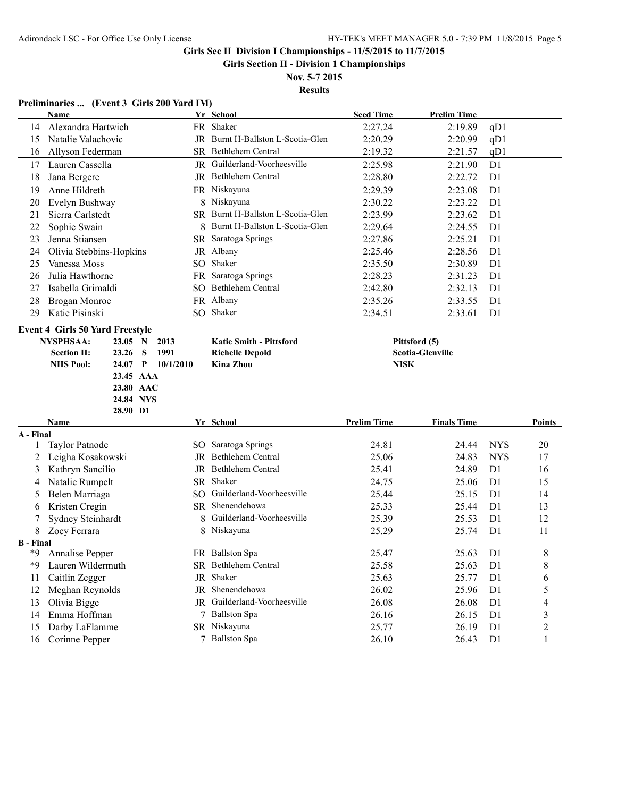**Girls Section II - Division 1 Championships**

**Nov. 5-7 2015 Results**

#### **Preliminaries ... (Event 3 Girls 200 Yard IM)**

|                        | Name                                   |           |                   | Yr School                         | <b>Seed Time</b>   | <b>Prelim Time</b>      |                                  |                |
|------------------------|----------------------------------------|-----------|-------------------|-----------------------------------|--------------------|-------------------------|----------------------------------|----------------|
| 14                     | Alexandra Hartwich                     |           |                   | FR Shaker                         | 2:27.24            | 2:19.89                 | qD1                              |                |
| 15                     | Natalie Valachovic                     |           |                   | JR Burnt H-Ballston L-Scotia-Glen | 2:20.29            | 2:20.99                 | qD1                              |                |
| 16                     | Allyson Federman                       |           |                   | SR Bethlehem Central              | 2:19.32            | 2:21.57                 | qD1                              |                |
| 17                     | Lauren Cassella                        |           |                   | JR Guilderland-Voorheesville      | 2:25.98            | 2:21.90                 | D <sub>1</sub>                   |                |
| 18                     | Jana Bergere                           |           |                   | JR Bethlehem Central              | 2:28.80            | 2:22.72                 | D <sub>1</sub>                   |                |
| 19                     | Anne Hildreth                          |           |                   | FR Niskayuna                      | 2:29.39            | 2:23.08                 | D1                               |                |
| 20                     | Evelyn Bushway                         |           |                   | 8 Niskayuna                       | 2:30.22            | 2:23.22                 | D <sub>1</sub>                   |                |
| 21                     | Sierra Carlstedt                       |           |                   | SR Burnt H-Ballston L-Scotia-Glen | 2:23.99            | 2:23.62                 | D <sub>1</sub>                   |                |
| 22                     | Sophie Swain                           |           | 8.                | Burnt H-Ballston L-Scotia-Glen    | 2:29.64            | 2:24.55                 | D <sub>1</sub>                   |                |
| 23                     | Jenna Stiansen                         |           |                   | SR Saratoga Springs               | 2:27.86            | 2:25.21                 | D <sub>1</sub>                   |                |
| 24                     | Olivia Stebbins-Hopkins                |           |                   | JR Albany                         | 2:25.46            | 2:28.56                 | D <sub>1</sub>                   |                |
| 25                     | Vanessa Moss                           |           |                   | SO Shaker                         | 2:35.50            | 2:30.89                 | D <sub>1</sub>                   |                |
| 26                     | Julia Hawthorne                        |           |                   | FR Saratoga Springs               | 2:28.23            | 2:31.23                 | D <sub>1</sub>                   |                |
| 27                     | Isabella Grimaldi                      |           |                   | SO Bethlehem Central              | 2:42.80            | 2:32.13                 | D <sub>1</sub>                   |                |
| 28                     | Brogan Monroe                          |           |                   | FR Albany                         | 2:35.26            | 2:33.55                 | D <sub>1</sub>                   |                |
| 29                     | Katie Pisinski                         |           |                   | SO Shaker                         | 2:34.51            | 2:33.61                 | D <sub>1</sub>                   |                |
|                        | <b>Event 4 Girls 50 Yard Freestyle</b> |           |                   |                                   |                    |                         |                                  |                |
|                        | <b>NYSPHSAA:</b><br>23.05 N            |           | 2013              | <b>Katie Smith - Pittsford</b>    |                    | Pittsford (5)           |                                  |                |
|                        | <b>Section II:</b><br>23.26            | S         | 1991              | <b>Richelle Depold</b>            |                    | <b>Scotia-Glenville</b> |                                  |                |
|                        | <b>NHS Pool:</b>                       |           | 24.07 P 10/1/2010 | <b>Kina Zhou</b>                  | <b>NISK</b>        |                         |                                  |                |
|                        |                                        | 23.45 AAA |                   |                                   |                    |                         |                                  |                |
|                        |                                        | 23.80 AAC |                   |                                   |                    |                         |                                  |                |
|                        |                                        |           |                   |                                   |                    |                         |                                  |                |
|                        |                                        | 24.84 NYS |                   |                                   |                    |                         |                                  |                |
|                        | 28.90 D1                               |           |                   |                                   |                    |                         |                                  |                |
|                        | Name                                   |           |                   | Yr School                         | <b>Prelim Time</b> | <b>Finals Time</b>      |                                  | Points         |
| A - Final              |                                        |           |                   |                                   |                    |                         |                                  |                |
| 1                      | <b>Taylor Patnode</b>                  |           |                   | SO Saratoga Springs               | 24.81              | 24.44                   | <b>NYS</b>                       | 20             |
| 2                      | Leigha Kosakowski                      |           |                   | JR Bethlehem Central              | 25.06              | 24.83                   | <b>NYS</b>                       | 17             |
| 3                      | Kathryn Sancilio                       |           |                   | JR Bethlehem Central              | 25.41              | 24.89                   | D <sub>1</sub>                   | 16             |
| 4                      | Natalie Rumpelt                        |           |                   | SR Shaker                         | 24.75              | 25.06                   | D <sub>1</sub>                   | 15             |
| 5                      | Belen Marriaga                         |           |                   | SO Guilderland-Voorheesville      | 25.44              | 25.15                   | D <sub>1</sub>                   | 14             |
| 6                      | Kristen Cregin                         |           |                   | SR Shenendehowa                   | 25.33              | 25.44                   | D1                               | 13             |
| 7                      | Sydney Steinhardt                      |           | 8                 | Guilderland-Voorheesville         | 25.39              | 25.53                   | D <sub>1</sub>                   | 12             |
| 8                      | Zoey Ferrara                           |           |                   | 8 Niskayuna                       | 25.29              | 25.74                   | D <sub>1</sub>                   | 11             |
| <b>B</b> - Final<br>*9 |                                        |           |                   |                                   |                    |                         | D <sub>1</sub>                   |                |
| *9                     | Annalise Pepper                        |           |                   | FR Ballston Spa                   | 25.47              | 25.63                   |                                  | 8              |
| 11                     | Lauren Wildermuth                      |           |                   | SR Bethlehem Central<br>JR Shaker | 25.58              | 25.63                   | D <sub>1</sub>                   | 8<br>6         |
|                        | Caitlin Zegger                         |           |                   | JR Shenendehowa                   | 25.63              | 25.77                   | D <sub>1</sub>                   |                |
| 12<br>13               | Meghan Reynolds                        |           |                   | JR Guilderland-Voorheesville      | 26.02<br>26.08     | 25.96<br>26.08          | D <sub>1</sub><br>D <sub>1</sub> | 5<br>4         |
| 14                     | Olivia Bigge<br>Emma Hoffman           |           |                   | 7 Ballston Spa                    | 26.16              |                         | D <sub>1</sub>                   | 3              |
| 15                     | Darby LaFlamme                         |           |                   | SR Niskayuna                      | 25.77              | 26.15<br>26.19          | D <sub>1</sub>                   | $\overline{c}$ |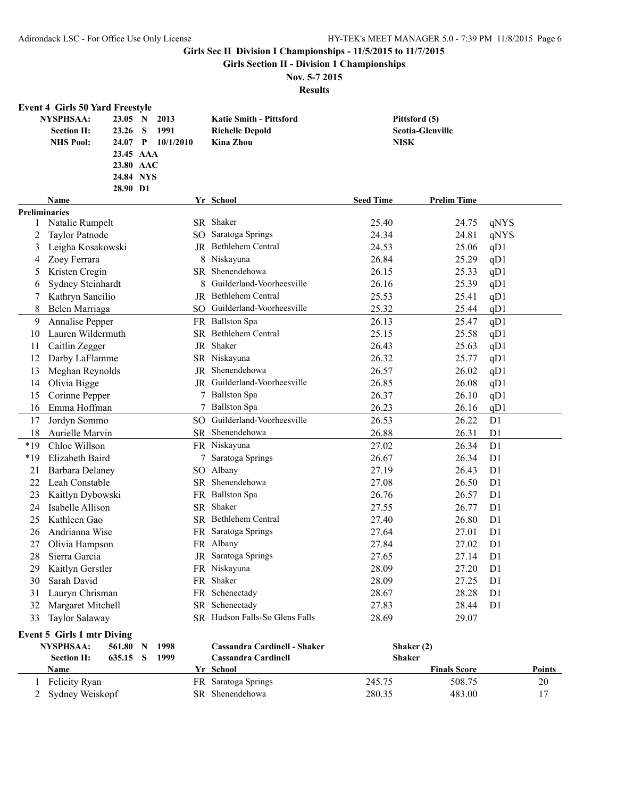**Girls Section II - Division 1 Championships**

# **Nov. 5-7 2015**

|       | <b>Event 4 Girls 50 Yard Freestyle</b> |           |              |                 |                                |                  |                         |                |
|-------|----------------------------------------|-----------|--------------|-----------------|--------------------------------|------------------|-------------------------|----------------|
|       | <b>NYSPHSAA:</b>                       | 23.05 N   |              | 2013            | <b>Katie Smith - Pittsford</b> |                  | Pittsford (5)           |                |
|       | <b>Section II:</b>                     | 23.26     | S            | 1991            | <b>Richelle Depold</b>         |                  | <b>Scotia-Glenville</b> |                |
|       | <b>NHS Pool:</b>                       | 24.07     | $\mathbf{P}$ | 10/1/2010       | Kina Zhou                      | <b>NISK</b>      |                         |                |
|       |                                        | 23.45 AAA |              |                 |                                |                  |                         |                |
|       |                                        | 23.80 AAC |              |                 |                                |                  |                         |                |
|       |                                        | 24.84 NYS |              |                 |                                |                  |                         |                |
|       |                                        | 28.90 D1  |              |                 |                                |                  |                         |                |
|       | Name                                   |           |              |                 | Yr School                      | <b>Seed Time</b> | <b>Prelim Time</b>      |                |
|       | <b>Preliminaries</b>                   |           |              |                 |                                |                  |                         |                |
| 1     | Natalie Rumpelt                        |           |              |                 | SR Shaker                      | 25.40            | 24.75                   | qNYS           |
| 2     | <b>Taylor Patnode</b>                  |           |              | SO.             | Saratoga Springs               | 24.34            | 24.81                   | qNYS           |
| 3     | Leigha Kosakowski                      |           |              |                 | JR Bethlehem Central           | 24.53            | 25.06                   | qD1            |
| 4     | Zoey Ferrara                           |           |              | 8               | Niskayuna                      | 26.84            | 25.29                   | qD1            |
| 5     | Kristen Cregin                         |           |              | SR              | Shenendehowa                   | 26.15            | 25.33                   | qD1            |
| 6     | Sydney Steinhardt                      |           |              | 8               | Guilderland-Voorheesville      | 26.16            | 25.39                   | qD1            |
| 7     | Kathryn Sancilio                       |           |              |                 | JR Bethlehem Central           | 25.53            | 25.41                   | qD1            |
| 8     | Belen Marriaga                         |           |              | SO.             | Guilderland-Voorheesville      | 25.32            | 25.44                   | qD1            |
| 9     | Annalise Pepper                        |           |              |                 | FR Ballston Spa                | 26.13            | 25.47                   | qD1            |
| 10    | Lauren Wildermuth                      |           |              |                 | SR Bethlehem Central           | 25.15            | 25.58                   | qD1            |
| 11    | Caitlin Zegger                         |           |              |                 | JR Shaker                      | 26.43            | 25.63                   | qD1            |
| 12    | Darby LaFlamme                         |           |              |                 | SR Niskayuna                   | 26.32            | 25.77                   | qD1            |
| 13    | Meghan Reynolds                        |           |              | JR              | Shenendehowa                   | 26.57            | 26.02                   | qD1            |
| 14    | Olivia Bigge                           |           |              |                 | JR Guilderland-Voorheesville   | 26.85            | 26.08                   | qD1            |
| 15    | Corinne Pepper                         |           |              |                 | <b>Ballston Spa</b>            | 26.37            | 26.10                   | qD1            |
| 16    | Emma Hoffman                           |           |              |                 | <b>Ballston Spa</b>            | 26.23            | 26.16                   | qD1            |
| 17    | Jordyn Sommo                           |           |              | SO <sub>2</sub> | Guilderland-Voorheesville      | 26.53            | 26.22                   | D1             |
| 18    | Aurielle Marvin                        |           |              |                 | SR Shenendehowa                | 26.88            | 26.31                   | D1             |
|       |                                        |           |              |                 | FR Niskayuna                   |                  |                         |                |
| $*19$ | Chloe Willson                          |           |              |                 |                                | 27.02            | 26.34                   | D1             |
| $*19$ | Elizabeth Baird                        |           |              |                 | Saratoga Springs               | 26.67            | 26.34                   | D <sub>1</sub> |
| 21    | <b>Barbara Delaney</b>                 |           |              | SO.             | Albany<br>SR Shenendehowa      | 27.19            | 26.43                   | D1             |
| 22    | Leah Constable                         |           |              |                 |                                | 27.08            | 26.50                   | D1             |
| 23    | Kaitlyn Dybowski                       |           |              |                 | FR Ballston Spa                | 26.76            | 26.57                   | D1             |
| 24    | Isabelle Allison                       |           |              |                 | SR Shaker                      | 27.55            | 26.77                   | D <sub>1</sub> |
| 25    | Kathleen Gao                           |           |              |                 | SR Bethlehem Central           | 27.40            | 26.80                   | D <sub>1</sub> |
| 26    | Andrianna Wise                         |           |              | FR              | Saratoga Springs               | 27.64            | 27.01                   | D <sub>1</sub> |
| 27    | Olivia Hampson                         |           |              |                 | FR Albany                      | 27.84            | 27.02                   | D1             |
| 28    | Sierra Garcia                          |           |              |                 | JR Saratoga Springs            | 27.65            | 27.14                   | D <sub>1</sub> |
| 29    | Kaitlyn Gerstler                       |           |              |                 | FR Niskayuna                   | 28.09            | 27.20                   | D1             |
| 30    | Sarah David                            |           |              |                 | FR Shaker                      | 28.09            | 27.25                   | D <sub>1</sub> |
| 31    | Lauryn Chrisman                        |           |              |                 | FR Schenectady                 | 28.67            | 28.28                   | D <sub>1</sub> |
| 32    | Margaret Mitchell                      |           |              |                 | SR Schenectady                 | 27.83            | 28.44                   | D <sub>1</sub> |
| 33    | Taylor Salaway                         |           |              |                 | SR Hudson Falls-So Glens Falls | 28.69            | 29.07                   |                |
|       | <b>Event 5 Girls 1 mtr Diving</b>      |           |              |                 |                                |                  |                         |                |
|       | <b>NYSPHSAA:</b>                       | 561.80 N  |              | 1998            | Cassandra Cardinell - Shaker   |                  | Shaker (2)              |                |
|       | <b>Section II:</b>                     | 635.15 S  |              | 1999            | <b>Cassandra Cardinell</b>     | <b>Shaker</b>    |                         |                |
|       | <b>Name</b>                            |           |              |                 | Yr School                      |                  | <b>Finals Score</b>     | <b>Points</b>  |
| 1     | Felicity Ryan                          |           |              |                 | FR Saratoga Springs            | 245.75           | 508.75                  | 20             |
| 2     | Sydney Weiskopf                        |           |              |                 | SR Shenendehowa                | 280.35           | 483.00                  | 17             |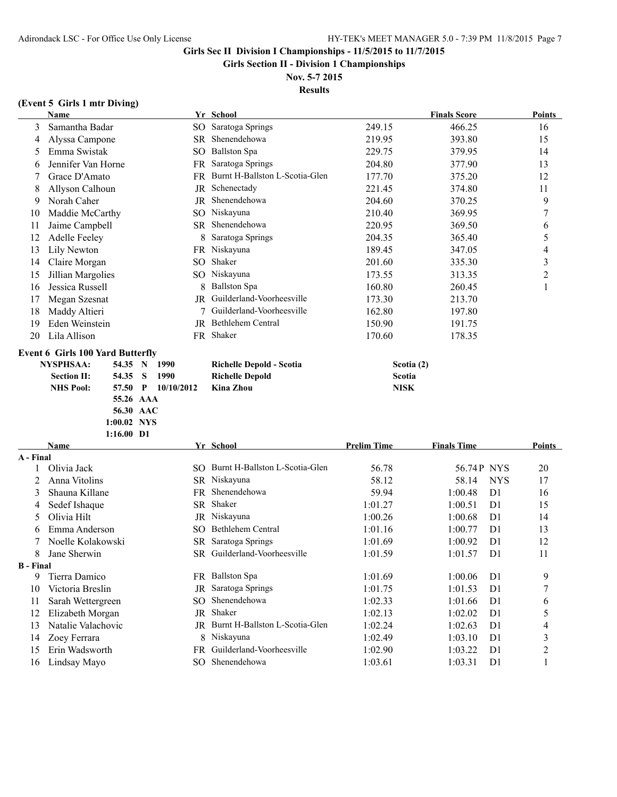**56.30 AAC 1:00.02 NYS**

#### **Girls Sec II Division I Championships - 11/5/2015 to 11/7/2015**

**Girls Section II - Division 1 Championships**

#### **Nov. 5-7 2015 Results**

#### **(Event 5 Girls 1 mtr Diving)**

|    | <b>Name</b>                             |           |   |            | Yr School                      |             | <b>Finals Score</b> | <b>Points</b>  |
|----|-----------------------------------------|-----------|---|------------|--------------------------------|-------------|---------------------|----------------|
| 3  | Samantha Badar                          |           |   | SO         | Saratoga Springs               | 249.15      | 466.25              | 16             |
| 4  | Alyssa Campone                          |           |   | SR         | Shenendehowa                   | 219.95      | 393.80              | 15             |
| 5  | Emma Swistak                            |           |   | SO.        | <b>Ballston Spa</b>            | 229.75      | 379.95              | 14             |
| 6  | Jennifer Van Horne                      |           |   | FR         | Saratoga Springs               | 204.80      | 377.90              | 13             |
|    | Grace D'Amato                           |           |   | FR.        | Burnt H-Ballston L-Scotia-Glen | 177.70      | 375.20              | 12             |
| 8  | Allyson Calhoun                         |           |   | JR         | Schenectady                    | 221.45      | 374.80              | 11             |
| 9  | Norah Caher                             |           |   | JR         | Shenendehowa                   | 204.60      | 370.25              | 9              |
| 10 | Maddie McCarthy                         |           |   | SO.        | Niskayuna                      | 210.40      | 369.95              | 7              |
| 11 | Jaime Campbell                          |           |   | SR         | Shenendehowa                   | 220.95      | 369.50              | 6              |
| 12 | <b>Adelle Feeley</b>                    |           |   | 8          | Saratoga Springs               | 204.35      | 365.40              | 5              |
| 13 | Lily Newton                             |           |   | FR         | Niskayuna                      | 189.45      | 347.05              | 4              |
| 14 | Claire Morgan                           |           |   | SO.        | Shaker                         | 201.60      | 335.30              | 3              |
| 15 | Jillian Margolies                       |           |   |            | SO Niskayuna                   | 173.55      | 313.35              | $\overline{c}$ |
| 16 | Jessica Russell                         |           |   |            | <b>Ballston Spa</b>            | 160.80      | 260.45              |                |
| 17 | Megan Szesnat                           |           |   | JR         | Guilderland-Voorheesville      | 173.30      | 213.70              |                |
| 18 | Maddy Altieri                           |           |   |            | Guilderland-Voorheesville      | 162.80      | 197.80              |                |
| 19 | Eden Weinstein                          |           |   | JR         | Bethlehem Central              | 150.90      | 191.75              |                |
| 20 | Lila Allison                            |           |   |            | FR Shaker                      | 170.60      | 178.35              |                |
|    | <b>Event 6 Girls 100 Yard Butterfly</b> |           |   |            |                                |             |                     |                |
|    | <b>NYSPHSAA:</b>                        | 54.35     | N | 1990       | Richelle Depold - Scotia       | Scotia (2)  |                     |                |
|    | <b>Section II:</b>                      | 54.35     | S | 1990       | <b>Richelle Depold</b>         | Scotia      |                     |                |
|    | <b>NHS Pool:</b>                        | 57.50     | P | 10/10/2012 | <b>Kina Zhou</b>               | <b>NISK</b> |                     |                |
|    |                                         | 55.26 AAA |   |            |                                |             |                     |                |

#### **1:16.00 D1 Name Yr School Prelim Time Finals Time Points A - Final** 1 Olivia Jack SO Burnt H-Ballston L-Scotia-Glen 56.78 56.74 P NYS 20 2 Anna Vitolins SR Niskayuna 58.12 58.14 NYS 17 3 Shauna Killane FR Shenendehowa 59.94 1:00.48 D1 16 4 Sedef Ishaque SR Shaker 1:01.27 1:00.51 D1 15 5 Olivia Hilt JR Niskayuna 1:00.26 1:00.68 D1 14 6 Emma Anderson SO Bethlehem Central 1:01.16 1:00.77 D1 13 7 Noelle Kolakowski SR Saratoga Springs 1:01.69 1:00.92 D1 12 8 Jane Sherwin SR Guilderland-Voorheesville 1:01.59 1:01.57 D1 11 **B - Final** 9 Tierra Damico **FR** Ballston Spa 1:01.69 1:00.06 D1 9 10 Victoria Breslin JR Saratoga Springs 1:01.75 1:01.53 D1 7 11 Sarah Wettergreen SO Shenendehowa 1:02.33 1:01.66 D1 6 12 Elizabeth Morgan JR Shaker 1:02.13 1:02.02 D1 5 13 Natalie Valachovic JR Burnt H-Ballston L-Scotia-Glen 1:02.24 1:02.63 D1 4 14 Zoey Ferrara 8 Niskayuna 1:02.49 1:03.10 D1 3 15 Erin Wadsworth FR Guilderland-Voorheesville 1:02.90 1:03.22 D1 2 16 Lindsay Mayo SO Shenendehowa 1:03.61 1:03.31 D1 1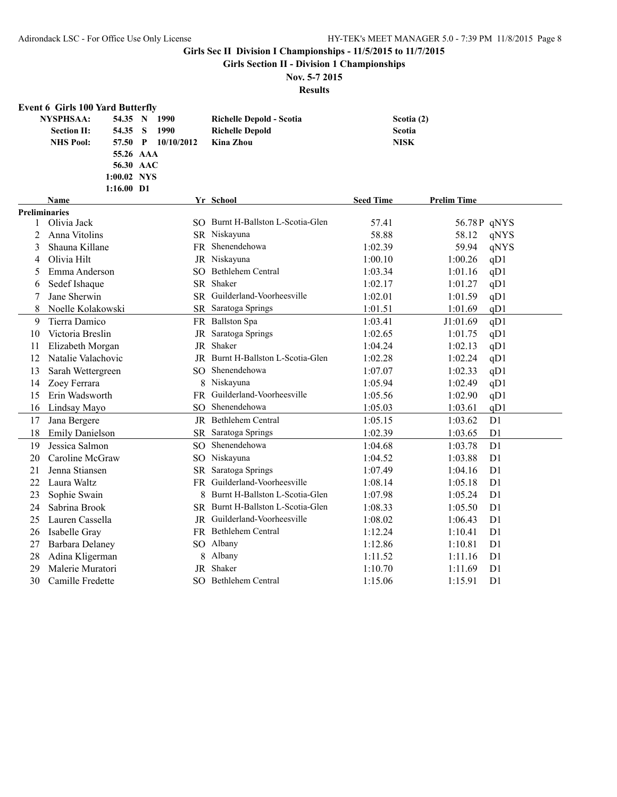**Girls Section II - Division 1 Championships**

## **Nov. 5-7 2015**

|              | <b>Event 6 Girls 100 Yard Butterfly</b>                             |                                                                    |                                                                        |                                     |                           |
|--------------|---------------------------------------------------------------------|--------------------------------------------------------------------|------------------------------------------------------------------------|-------------------------------------|---------------------------|
|              | <b>NYSPHSAA:</b><br>54.35<br><b>Section II:</b><br><b>NHS Pool:</b> | 1990<br>54.35 N<br>S<br>1990<br>57.50 P<br>10/10/2012<br>55.26 AAA | Richelle Depold - Scotia<br><b>Richelle Depold</b><br><b>Kina Zhou</b> | Scotia (2)<br>Scotia<br><b>NISK</b> |                           |
|              |                                                                     | 56.30 AAC<br>1:00.02 NYS<br>1:16.00 D1                             |                                                                        |                                     |                           |
|              | Name                                                                |                                                                    | Yr School                                                              | <b>Seed Time</b>                    | <b>Prelim Time</b>        |
|              | <b>Preliminaries</b>                                                |                                                                    |                                                                        |                                     |                           |
| $\mathbf{1}$ | Olivia Jack                                                         |                                                                    | SO Burnt H-Ballston L-Scotia-Glen                                      | 57.41                               | 56.78P qNYS               |
| 2            | Anna Vitolins                                                       |                                                                    | SR Niskayuna                                                           | 58.88                               | 58.12<br>qNYS             |
| 3            | Shauna Killane                                                      |                                                                    | FR Shenendehowa                                                        | 1:02.39                             | 59.94<br>qNYS             |
| 4            | Olivia Hilt                                                         |                                                                    | JR Niskayuna                                                           | 1:00.10                             | qD1<br>1:00.26            |
| 5            | Emma Anderson                                                       |                                                                    | SO Bethlehem Central                                                   | 1:03.34                             | 1:01.16<br>qD1            |
| 6            | Sedef Ishaque                                                       |                                                                    | SR Shaker                                                              | 1:02.17                             | 1:01.27<br>qD1            |
| 7            | Jane Sherwin                                                        |                                                                    | SR Guilderland-Voorheesville                                           | 1:02.01                             | 1:01.59<br>qD1            |
| 8            | Noelle Kolakowski                                                   |                                                                    | SR Saratoga Springs                                                    | 1:01.51                             | 1:01.69<br>qD1            |
| 9            | Tierra Damico                                                       |                                                                    | FR Ballston Spa                                                        | 1:03.41                             | qD1<br>J1:01.69           |
| 10           | Victoria Breslin                                                    |                                                                    | JR Saratoga Springs                                                    | 1:02.65                             | 1:01.75<br>qD1            |
| 11           | Elizabeth Morgan                                                    | JR                                                                 | Shaker                                                                 | 1:04.24                             | 1:02.13<br>qD1            |
| 12           | Natalie Valachovic                                                  | JR                                                                 | Burnt H-Ballston L-Scotia-Glen                                         | 1:02.28                             | 1:02.24<br>qD1            |
| 13           | Sarah Wettergreen                                                   |                                                                    | SO Shenendehowa                                                        | 1:07.07                             | 1:02.33<br>qD1            |
| 14           | Zoey Ferrara                                                        |                                                                    | 8 Niskayuna                                                            | 1:05.94                             | 1:02.49<br>qD1            |
| 15           | Erin Wadsworth                                                      |                                                                    | FR Guilderland-Voorheesville                                           | 1:05.56                             | 1:02.90<br>qD1            |
| 16           | Lindsay Mayo                                                        | SO.                                                                | Shenendehowa                                                           | 1:05.03                             | 1:03.61<br>qD1            |
| 17           | Jana Bergere                                                        |                                                                    | <b>JR</b> Bethlehem Central                                            | 1:05.15                             | D1<br>1:03.62             |
| 18           | <b>Emily Danielson</b>                                              | SR                                                                 | Saratoga Springs                                                       | 1:02.39                             | D <sub>1</sub><br>1:03.65 |
| 19           | Jessica Salmon                                                      | SO <sub>1</sub>                                                    | Shenendehowa                                                           | 1:04.68                             | D1<br>1:03.78             |
| 20           | Caroline McGraw                                                     |                                                                    | SO Niskayuna                                                           | 1:04.52                             | D1<br>1:03.88             |
| 21           | Jenna Stiansen                                                      | SR                                                                 | Saratoga Springs                                                       | 1:07.49                             | D <sub>1</sub><br>1:04.16 |
| 22           | Laura Waltz                                                         | FR                                                                 | Guilderland-Voorheesville                                              | 1:08.14                             | 1:05.18<br>D <sub>1</sub> |
| 23           | Sophie Swain                                                        |                                                                    | Burnt H-Ballston L-Scotia-Glen<br>8                                    | 1:07.98                             | D1<br>1:05.24             |
| 24           | Sabrina Brook                                                       |                                                                    | SR Burnt H-Ballston L-Scotia-Glen                                      | 1:08.33                             | D <sub>1</sub><br>1:05.50 |
| 25           | Lauren Cassella                                                     | JR                                                                 | Guilderland-Voorheesville                                              | 1:08.02                             | D <sub>1</sub><br>1:06.43 |
| 26           | Isabelle Gray                                                       |                                                                    | FR Bethlehem Central                                                   | 1:12.24                             | D <sub>1</sub><br>1:10.41 |
| 27           | <b>Barbara Delaney</b>                                              |                                                                    | SO Albany                                                              | 1:12.86                             | 1:10.81<br>D1             |
| 28           | Adina Kligerman                                                     |                                                                    | Albany<br>8                                                            | 1:11.52                             | D1<br>1:11.16             |
| 29           | Malerie Muratori                                                    | JR                                                                 | Shaker                                                                 | 1:10.70                             | 1:11.69<br>D1             |
| 30           | Camille Fredette                                                    |                                                                    | SO Bethlehem Central                                                   | 1:15.06                             | D <sub>1</sub><br>1:15.91 |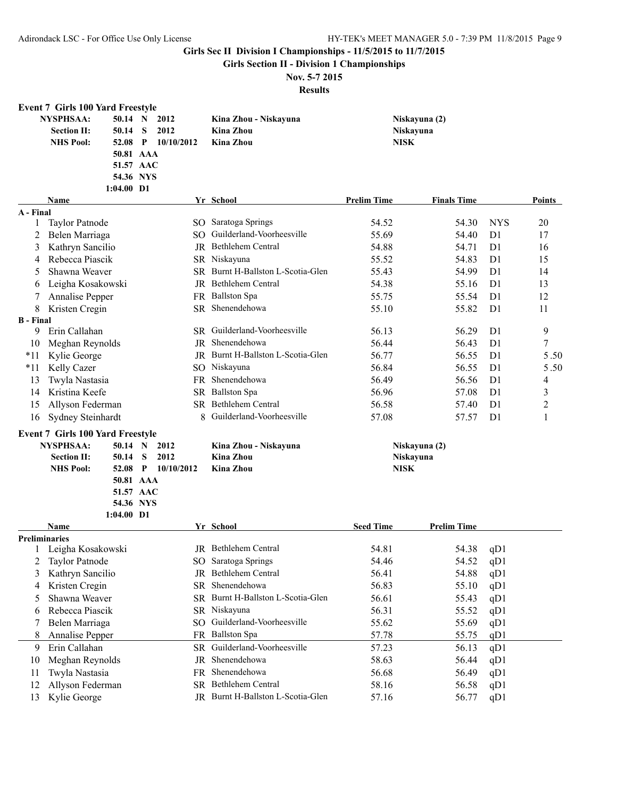**Girls Section II - Division 1 Championships**

# **Nov. 5-7 2015**

|                       | <b>Event 7 Girls 100 Yard Freestyle</b> |                           |              |                 |                                   |                    |                    |                |                |
|-----------------------|-----------------------------------------|---------------------------|--------------|-----------------|-----------------------------------|--------------------|--------------------|----------------|----------------|
|                       | <b>NYSPHSAA:</b>                        | 50.14 N                   |              | 2012            | Kina Zhou - Niskayuna             |                    | Niskayuna (2)      |                |                |
|                       | <b>Section II:</b>                      | 50.14                     | S            | 2012            | <b>Kina Zhou</b>                  |                    | Niskayuna          |                |                |
|                       | <b>NHS Pool:</b>                        | 52.08                     | $\mathbf{P}$ | 10/10/2012      | <b>Kina Zhou</b>                  | <b>NISK</b>        |                    |                |                |
|                       |                                         | 50.81 AAA                 |              |                 |                                   |                    |                    |                |                |
|                       |                                         | 51.57 AAC                 |              |                 |                                   |                    |                    |                |                |
|                       |                                         | 54.36 NYS                 |              |                 |                                   |                    |                    |                |                |
|                       |                                         | $1:04.00$ D1              |              |                 |                                   |                    |                    |                |                |
| A - Final             | <b>Name</b>                             |                           |              |                 | Yr School                         | <b>Prelim Time</b> | <b>Finals Time</b> |                | Points         |
| 1                     | <b>Taylor Patnode</b>                   |                           |              |                 | SO Saratoga Springs               | 54.52              | 54.30              | <b>NYS</b>     | 20             |
| 2                     | Belen Marriaga                          |                           |              |                 | SO Guilderland-Voorheesville      | 55.69              | 54.40              | D <sub>1</sub> | 17             |
| 3                     | Kathryn Sancilio                        |                           |              |                 | JR Bethlehem Central              | 54.88              | 54.71              | D <sub>1</sub> | 16             |
| 4                     | Rebecca Piascik                         |                           |              |                 | SR Niskayuna                      | 55.52              | 54.83              | D <sub>1</sub> | 15             |
| 5                     | Shawna Weaver                           |                           |              |                 | SR Burnt H-Ballston L-Scotia-Glen | 55.43              | 54.99              | D <sub>1</sub> | 14             |
|                       | Leigha Kosakowski                       |                           |              |                 | JR Bethlehem Central              | 54.38              | 55.16              | D <sub>1</sub> | 13             |
| 6<br>7                | Annalise Pepper                         |                           |              |                 | FR Ballston Spa                   | 55.75              | 55.54              | D1             | 12             |
|                       |                                         |                           |              | SR.             | Shenendehowa                      | 55.10              |                    | D <sub>1</sub> |                |
| 8<br><b>B</b> - Final | Kristen Cregin                          |                           |              |                 |                                   |                    | 55.82              |                | 11             |
| 9                     | Erin Callahan                           |                           |              |                 | SR Guilderland-Voorheesville      | 56.13              | 56.29              | D <sub>1</sub> | 9              |
| 10                    | Meghan Reynolds                         |                           |              |                 | IR Shenendehowa                   | 56.44              | 56.43              | D <sub>1</sub> | $\overline{7}$ |
| $*11$                 | Kylie George                            |                           |              |                 | JR Burnt H-Ballston L-Scotia-Glen | 56.77              | 56.55              | D1             | $5.50\,$       |
| $*11$                 | Kelly Cazer                             |                           |              |                 | SO Niskayuna                      | 56.84              | 56.55              | D <sub>1</sub> | 5.50           |
| 13                    | Twyla Nastasia                          |                           |              | FR              | Shenendehowa                      | 56.49              | 56.56              | D <sub>1</sub> | 4              |
| 14                    | Kristina Keefe                          |                           |              |                 | SR Ballston Spa                   | 56.96              | 57.08              | D <sub>1</sub> | 3              |
| 15                    | Allyson Federman                        |                           |              |                 | SR Bethlehem Central              | 56.58              | 57.40              | D <sub>1</sub> | $\overline{2}$ |
| 16                    | Sydney Steinhardt                       |                           |              | 8               | Guilderland-Voorheesville         | 57.08              | 57.57              | D <sub>1</sub> | 1              |
|                       |                                         |                           |              |                 |                                   |                    |                    |                |                |
|                       | <b>Event 7 Girls 100 Yard Freestyle</b> |                           |              |                 |                                   |                    |                    |                |                |
|                       | <b>NYSPHSAA:</b>                        | 50.14 N                   |              | 2012            | Kina Zhou - Niskayuna             |                    | Niskayuna (2)      |                |                |
|                       | <b>Section II:</b>                      | 50.14                     | S            | 2012            | <b>Kina Zhou</b>                  |                    | Niskayuna          |                |                |
|                       | <b>NHS Pool:</b>                        | 52.08                     | $\mathbf{P}$ | 10/10/2012      | <b>Kina Zhou</b>                  | <b>NISK</b>        |                    |                |                |
|                       |                                         | 50.81 AAA                 |              |                 |                                   |                    |                    |                |                |
|                       |                                         | 51.57 AAC                 |              |                 |                                   |                    |                    |                |                |
|                       |                                         | 54.36 NYS<br>$1:04.00$ D1 |              |                 |                                   |                    |                    |                |                |
|                       | Name                                    |                           |              |                 | Yr School                         | <b>Seed Time</b>   | <b>Prelim Time</b> |                |                |
|                       | <b>Preliminaries</b>                    |                           |              |                 |                                   |                    |                    |                |                |
|                       | Leigha Kosakowski                       |                           |              |                 | JR Bethlehem Central              | 54.81              | 54.38              | qD1            |                |
| 2                     | Taylor Patnode                          |                           |              |                 | SO Saratoga Springs               | 54.46              | 54.52              | qD1            |                |
| 3                     | Kathryn Sancilio                        |                           |              |                 | JR Bethlehem Central              | 56.41              | 54.88              | qD1            |                |
| 4                     | Kristen Cregin                          |                           |              | SR.             | Shenendehowa                      | 56.83              | 55.10              | qD1            |                |
| 5                     | Shawna Weaver                           |                           |              |                 | SR Burnt H-Ballston L-Scotia-Glen | 56.61              | 55.43              | qD1            |                |
| 6                     | Rebecca Piascik                         |                           |              |                 | SR Niskayuna                      | 56.31              | 55.52              | qD1            |                |
|                       | Belen Marriaga                          |                           |              | SO <sub>1</sub> | Guilderland-Voorheesville         | 55.62              | 55.69              | qD1            |                |
| 8                     | Annalise Pepper                         |                           |              |                 | FR Ballston Spa                   | 57.78              | 55.75              | qD1            |                |
| 9                     | Erin Callahan                           |                           |              |                 | SR Guilderland-Voorheesville      | 57.23              | 56.13              | qD1            |                |
| 10                    | Meghan Reynolds                         |                           |              |                 | JR Shenendehowa                   | 58.63              | 56.44              | qD1            |                |
| 11                    | Twyla Nastasia                          |                           |              |                 | FR Shenendehowa                   | 56.68              | 56.49              | qD1            |                |
| 12                    | Allyson Federman                        |                           |              |                 | SR Bethlehem Central              | 58.16              | 56.58              | qD1            |                |
| 13                    | Kylie George                            |                           |              |                 | JR Burnt H-Ballston L-Scotia-Glen | 57.16              | 56.77              | qD1            |                |
|                       |                                         |                           |              |                 |                                   |                    |                    |                |                |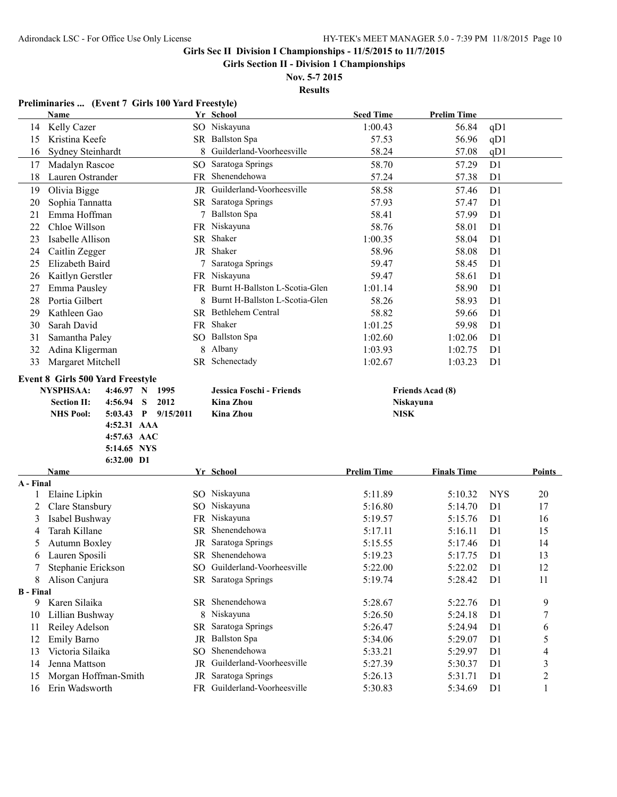**Girls Section II - Division 1 Championships**

**Nov. 5-7 2015 Results**

|                                         | Preliminaries  (Event 7 Girls 100 Yard Freestyle)                                                                                                                                                          |                                |                                                                                                                                                                                                                                                                                                                                                                                                                              |                                                   |                                                                                         |                                                          |
|-----------------------------------------|------------------------------------------------------------------------------------------------------------------------------------------------------------------------------------------------------------|--------------------------------|------------------------------------------------------------------------------------------------------------------------------------------------------------------------------------------------------------------------------------------------------------------------------------------------------------------------------------------------------------------------------------------------------------------------------|---------------------------------------------------|-----------------------------------------------------------------------------------------|----------------------------------------------------------|
| Name                                    |                                                                                                                                                                                                            | Yr School                      | <b>Seed Time</b>                                                                                                                                                                                                                                                                                                                                                                                                             | <b>Prelim Time</b>                                |                                                                                         |                                                          |
| 14 Kelly Cazer                          |                                                                                                                                                                                                            |                                | 1:00.43                                                                                                                                                                                                                                                                                                                                                                                                                      | 56.84                                             | qD1                                                                                     |                                                          |
| Kristina Keefe                          |                                                                                                                                                                                                            |                                | 57.53                                                                                                                                                                                                                                                                                                                                                                                                                        | 56.96                                             | qD1                                                                                     |                                                          |
| Sydney Steinhardt                       | 8                                                                                                                                                                                                          |                                | 58.24                                                                                                                                                                                                                                                                                                                                                                                                                        | 57.08                                             | qD1                                                                                     |                                                          |
| Madalyn Rascoe                          |                                                                                                                                                                                                            |                                | 58.70                                                                                                                                                                                                                                                                                                                                                                                                                        | 57.29                                             | D1                                                                                      |                                                          |
| Lauren Ostrander                        |                                                                                                                                                                                                            | Shenendehowa                   | 57.24                                                                                                                                                                                                                                                                                                                                                                                                                        | 57.38                                             | D <sub>1</sub>                                                                          |                                                          |
| Olivia Bigge                            |                                                                                                                                                                                                            |                                | 58.58                                                                                                                                                                                                                                                                                                                                                                                                                        | 57.46                                             | D <sub>1</sub>                                                                          |                                                          |
| Sophia Tannatta                         |                                                                                                                                                                                                            |                                | 57.93                                                                                                                                                                                                                                                                                                                                                                                                                        | 57.47                                             | D <sub>1</sub>                                                                          |                                                          |
| Emma Hoffman                            |                                                                                                                                                                                                            |                                | 58.41                                                                                                                                                                                                                                                                                                                                                                                                                        | 57.99                                             | D1                                                                                      |                                                          |
| Chloe Willson                           |                                                                                                                                                                                                            |                                | 58.76                                                                                                                                                                                                                                                                                                                                                                                                                        | 58.01                                             | D1                                                                                      |                                                          |
| Isabelle Allison                        |                                                                                                                                                                                                            |                                | 1:00.35                                                                                                                                                                                                                                                                                                                                                                                                                      | 58.04                                             | D1                                                                                      |                                                          |
| Caitlin Zegger                          |                                                                                                                                                                                                            |                                | 58.96                                                                                                                                                                                                                                                                                                                                                                                                                        | 58.08                                             | D1                                                                                      |                                                          |
| Elizabeth Baird                         |                                                                                                                                                                                                            |                                | 59.47                                                                                                                                                                                                                                                                                                                                                                                                                        | 58.45                                             | D <sub>1</sub>                                                                          |                                                          |
|                                         |                                                                                                                                                                                                            |                                | 59.47                                                                                                                                                                                                                                                                                                                                                                                                                        | 58.61                                             | D1                                                                                      |                                                          |
| Emma Pausley                            |                                                                                                                                                                                                            |                                | 1:01.14                                                                                                                                                                                                                                                                                                                                                                                                                      | 58.90                                             | D1                                                                                      |                                                          |
| Portia Gilbert                          | 8                                                                                                                                                                                                          | Burnt H-Ballston L-Scotia-Glen | 58.26                                                                                                                                                                                                                                                                                                                                                                                                                        | 58.93                                             | D1                                                                                      |                                                          |
| Kathleen Gao                            |                                                                                                                                                                                                            |                                |                                                                                                                                                                                                                                                                                                                                                                                                                              |                                                   | D1                                                                                      |                                                          |
|                                         |                                                                                                                                                                                                            |                                |                                                                                                                                                                                                                                                                                                                                                                                                                              |                                                   |                                                                                         |                                                          |
|                                         |                                                                                                                                                                                                            |                                |                                                                                                                                                                                                                                                                                                                                                                                                                              |                                                   |                                                                                         |                                                          |
|                                         |                                                                                                                                                                                                            |                                |                                                                                                                                                                                                                                                                                                                                                                                                                              |                                                   |                                                                                         |                                                          |
|                                         |                                                                                                                                                                                                            |                                |                                                                                                                                                                                                                                                                                                                                                                                                                              |                                                   |                                                                                         |                                                          |
|                                         |                                                                                                                                                                                                            |                                |                                                                                                                                                                                                                                                                                                                                                                                                                              |                                                   |                                                                                         |                                                          |
|                                         |                                                                                                                                                                                                            |                                |                                                                                                                                                                                                                                                                                                                                                                                                                              |                                                   |                                                                                         |                                                          |
|                                         |                                                                                                                                                                                                            |                                |                                                                                                                                                                                                                                                                                                                                                                                                                              |                                                   |                                                                                         |                                                          |
|                                         |                                                                                                                                                                                                            |                                |                                                                                                                                                                                                                                                                                                                                                                                                                              |                                                   |                                                                                         |                                                          |
|                                         |                                                                                                                                                                                                            |                                |                                                                                                                                                                                                                                                                                                                                                                                                                              |                                                   |                                                                                         |                                                          |
| <b>NHS Pool:</b><br>5:03.43 P 9/15/2011 |                                                                                                                                                                                                            | <b>Kina Zhou</b>               | <b>NISK</b>                                                                                                                                                                                                                                                                                                                                                                                                                  |                                                   |                                                                                         |                                                          |
| 4:52.31 AAA                             |                                                                                                                                                                                                            |                                |                                                                                                                                                                                                                                                                                                                                                                                                                              |                                                   |                                                                                         |                                                          |
| 4:57.63 AAC                             |                                                                                                                                                                                                            |                                |                                                                                                                                                                                                                                                                                                                                                                                                                              |                                                   |                                                                                         |                                                          |
| 5:14.65 NYS                             |                                                                                                                                                                                                            |                                |                                                                                                                                                                                                                                                                                                                                                                                                                              |                                                   |                                                                                         |                                                          |
| 6:32.00 D1                              |                                                                                                                                                                                                            |                                |                                                                                                                                                                                                                                                                                                                                                                                                                              |                                                   |                                                                                         |                                                          |
| Name                                    |                                                                                                                                                                                                            | Yr School                      | <b>Prelim Time</b>                                                                                                                                                                                                                                                                                                                                                                                                           | <b>Finals Time</b>                                |                                                                                         | Points                                                   |
| A - Final                               |                                                                                                                                                                                                            |                                | 5:11.89                                                                                                                                                                                                                                                                                                                                                                                                                      | 5:10.32                                           | <b>NYS</b>                                                                              | 20                                                       |
| Elaine Lipkin                           |                                                                                                                                                                                                            | SO Niskayuna<br>SO Niskayuna   | 5:16.80                                                                                                                                                                                                                                                                                                                                                                                                                      | 5:14.70                                           | D <sub>1</sub>                                                                          | 17                                                       |
| Clare Stansbury                         |                                                                                                                                                                                                            | FR Niskayuna                   |                                                                                                                                                                                                                                                                                                                                                                                                                              | 5:15.76                                           | D <sub>1</sub>                                                                          | 16                                                       |
| Isabel Bushway<br>Tarah Killane         | SR.                                                                                                                                                                                                        | Shenendehowa                   | 5:19.57<br>5:17.11                                                                                                                                                                                                                                                                                                                                                                                                           | 5:16.11                                           | D <sub>1</sub>                                                                          |                                                          |
|                                         |                                                                                                                                                                                                            |                                |                                                                                                                                                                                                                                                                                                                                                                                                                              |                                                   | D <sub>1</sub>                                                                          | 15                                                       |
| Autumn Boxley                           |                                                                                                                                                                                                            | JR Saratoga Springs            | 5:15.55                                                                                                                                                                                                                                                                                                                                                                                                                      | 5:17.46                                           |                                                                                         | 14                                                       |
| Lauren Sposili                          | SО                                                                                                                                                                                                         | SR Shenendehowa                | 5:19.23                                                                                                                                                                                                                                                                                                                                                                                                                      | 5:17.75                                           | D <sub>1</sub>                                                                          | 13                                                       |
| Stephanie Erickson                      |                                                                                                                                                                                                            | Guilderland-Voorheesville      | 5:22.00                                                                                                                                                                                                                                                                                                                                                                                                                      | 5:22.02                                           | D <sub>1</sub>                                                                          | 12                                                       |
| Alison Canjura                          |                                                                                                                                                                                                            | SR Saratoga Springs            | 5:19.74                                                                                                                                                                                                                                                                                                                                                                                                                      | 5:28.42                                           | D <sub>1</sub>                                                                          | 11                                                       |
| <b>B</b> - Final<br>Karen Silaika       |                                                                                                                                                                                                            | SR Shenendehowa                | 5:28.67                                                                                                                                                                                                                                                                                                                                                                                                                      | 5:22.76                                           | D <sub>1</sub>                                                                          | 9                                                        |
| Lillian Bushway                         |                                                                                                                                                                                                            | 8 Niskayuna                    | 5:26.50                                                                                                                                                                                                                                                                                                                                                                                                                      | 5:24.18                                           | D <sub>1</sub>                                                                          | 7                                                        |
|                                         |                                                                                                                                                                                                            | SR Saratoga Springs            | 5:26.47                                                                                                                                                                                                                                                                                                                                                                                                                      | 5:24.94                                           | D1                                                                                      | 6                                                        |
| Reiley Adelson                          | JR                                                                                                                                                                                                         | <b>Ballston Spa</b>            | 5:34.06                                                                                                                                                                                                                                                                                                                                                                                                                      | 5:29.07                                           | D1                                                                                      |                                                          |
| <b>Emily Barno</b>                      | SO                                                                                                                                                                                                         | Shenendehowa                   |                                                                                                                                                                                                                                                                                                                                                                                                                              |                                                   |                                                                                         | 5                                                        |
| Victoria Silaika                        | JR                                                                                                                                                                                                         | Guilderland-Voorheesville      | 5:33.21                                                                                                                                                                                                                                                                                                                                                                                                                      | 5:29.97                                           | D <sub>1</sub>                                                                          | 4                                                        |
| Jenna Mattson<br>Morgan Hoffman-Smith   | JR                                                                                                                                                                                                         | Saratoga Springs               | 5:27.39<br>5:26.13                                                                                                                                                                                                                                                                                                                                                                                                           | 5:30.37<br>5:31.71                                | D <sub>1</sub><br>D <sub>1</sub>                                                        | 3<br>$\overline{\mathbf{c}}$                             |
|                                         | Kaitlyn Gerstler<br>Sarah David<br>Samantha Paley<br>Adina Kligerman<br>Margaret Mitchell<br><b>Event 8 Girls 500 Yard Freestyle</b><br><b>NYSPHSAA:</b><br>4:46.97 N<br><b>Section II:</b><br>$4:56.94$ S | 8<br>1995<br>2012              | SO Niskayuna<br>SR Ballston Spa<br>Guilderland-Voorheesville<br>SO Saratoga Springs<br>FR.<br>JR Guilderland-Voorheesville<br>SR Saratoga Springs<br>7 Ballston Spa<br>FR Niskayuna<br>SR Shaker<br>JR Shaker<br>7 Saratoga Springs<br>FR Niskayuna<br>FR Burnt H-Ballston L-Scotia-Glen<br>SR Bethlehem Central<br>FR Shaker<br>SO Ballston Spa<br>Albany<br>SR Schenectady<br>Jessica Foschi - Friends<br><b>Kina Zhou</b> | 58.82<br>1:01.25<br>1:02.60<br>1:03.93<br>1:02.67 | 59.66<br>59.98<br>1:02.06<br>1:02.75<br>1:03.23<br><b>Friends Acad (8)</b><br>Niskayuna | D1<br>D <sub>1</sub><br>D <sub>1</sub><br>D <sub>1</sub> |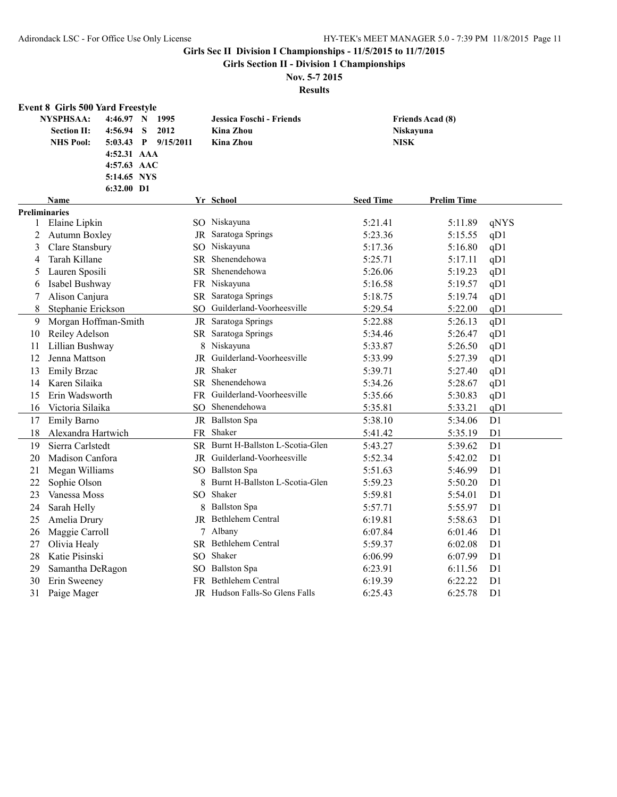**Girls Section II - Division 1 Championships**

# **Nov. 5-7 2015**

|    | <b>Event 8 Girls 500 Yard Freestyle</b>                                            |                                                         |                                                           |                                 |                         |                |
|----|------------------------------------------------------------------------------------|---------------------------------------------------------|-----------------------------------------------------------|---------------------------------|-------------------------|----------------|
|    | <b>NYSPHSAA:</b><br>4:46.97 N<br><b>Section II:</b><br>4:56.94<br><b>NHS Pool:</b> | 1995<br>S<br>2012<br>$5:03.43$ P<br>9/15/2011           | Jessica Foschi - Friends<br><b>Kina Zhou</b><br>Kina Zhou | <b>Niskayuna</b><br><b>NISK</b> | <b>Friends Acad (8)</b> |                |
|    |                                                                                    | 4:52.31 AAA<br>4:57.63 AAC<br>5:14.65 NYS<br>6:32.00 D1 |                                                           |                                 |                         |                |
|    | <b>Name</b>                                                                        |                                                         | Yr School                                                 | <b>Seed Time</b>                | <b>Prelim Time</b>      |                |
|    | <b>Preliminaries</b>                                                               |                                                         |                                                           |                                 |                         |                |
| 1  | Elaine Lipkin                                                                      |                                                         | SO Niskayuna                                              | 5:21.41                         | 5:11.89                 | qNYS           |
| 2  | <b>Autumn Boxley</b>                                                               |                                                         | JR Saratoga Springs                                       | 5:23.36                         | 5:15.55                 | qD1            |
| 3  | Clare Stansbury                                                                    |                                                         | SO Niskayuna                                              | 5:17.36                         | 5:16.80                 | qD1            |
| 4  | Tarah Killane                                                                      | SR.                                                     | Shenendehowa                                              | 5:25.71                         | 5:17.11                 | qD1            |
| 5  | Lauren Sposili                                                                     |                                                         | SR Shenendehowa                                           | 5:26.06                         | 5:19.23                 | qD1            |
| 6  | Isabel Bushway                                                                     |                                                         | FR Niskayuna                                              | 5:16.58                         | 5:19.57                 | qD1            |
| 7  | Alison Canjura                                                                     |                                                         | SR Saratoga Springs                                       | 5:18.75                         | 5:19.74                 | qD1            |
| 8  | Stephanie Erickson                                                                 | SO                                                      | Guilderland-Voorheesville                                 | 5:29.54                         | 5:22.00                 | qD1            |
| 9  | Morgan Hoffman-Smith                                                               |                                                         | JR Saratoga Springs                                       | 5:22.88                         | 5:26.13                 | qD1            |
| 10 | Reiley Adelson                                                                     |                                                         | SR Saratoga Springs                                       | 5:34.46                         | 5:26.47                 | qD1            |
| 11 | Lillian Bushway                                                                    |                                                         | 8 Niskayuna                                               | 5:33.87                         | 5:26.50                 | qD1            |
| 12 | Jenna Mattson                                                                      |                                                         | JR Guilderland-Voorheesville                              | 5:33.99                         | 5:27.39                 | qD1            |
| 13 | <b>Emily Brzac</b>                                                                 |                                                         | JR Shaker                                                 | 5:39.71                         | 5:27.40                 | qD1            |
| 14 | Karen Silaika                                                                      |                                                         | SR Shenendehowa                                           | 5:34.26                         | 5:28.67                 | qD1            |
| 15 | Erin Wadsworth                                                                     |                                                         | FR Guilderland-Voorheesville                              | 5:35.66                         | 5:30.83                 | qD1            |
| 16 | Victoria Silaika                                                                   |                                                         | SO Shenendehowa                                           | 5:35.81                         | 5:33.21                 | qD1            |
| 17 | Emily Barno                                                                        |                                                         | JR Ballston Spa                                           | 5:38.10                         | 5:34.06                 | D1             |
| 18 | Alexandra Hartwich                                                                 |                                                         | FR Shaker                                                 | 5:41.42                         | 5:35.19                 | D <sub>1</sub> |
| 19 | Sierra Carlstedt                                                                   |                                                         | SR Burnt H-Ballston L-Scotia-Glen                         | 5:43.27                         | 5:39.62                 | D1             |
| 20 | Madison Canfora                                                                    |                                                         | JR Guilderland-Voorheesville                              | 5:52.34                         | 5:42.02                 | D1             |
| 21 | Megan Williams                                                                     |                                                         | SO Ballston Spa                                           | 5:51.63                         | 5:46.99                 | D1             |
| 22 | Sophie Olson                                                                       |                                                         | 8 Burnt H-Ballston L-Scotia-Glen                          | 5:59.23                         | 5:50.20                 | D1             |
| 23 | Vanessa Moss                                                                       |                                                         | SO Shaker                                                 | 5:59.81                         | 5:54.01                 | D1             |
| 24 | Sarah Helly                                                                        | 8                                                       | <b>Ballston Spa</b>                                       | 5:57.71                         | 5:55.97                 | D <sub>1</sub> |
| 25 | Amelia Drury                                                                       |                                                         | JR Bethlehem Central                                      | 6:19.81                         | 5:58.63                 | D <sub>1</sub> |
| 26 | Maggie Carroll                                                                     |                                                         | 7 Albany                                                  | 6:07.84                         | 6:01.46                 | D1             |
| 27 | Olivia Healy                                                                       |                                                         | SR Bethlehem Central                                      | 5:59.37                         | 6:02.08                 | D1             |
| 28 | Katie Pisinski                                                                     |                                                         | SO Shaker                                                 | 6:06.99                         | 6:07.99                 | D1             |
| 29 | Samantha DeRagon                                                                   |                                                         | SO Ballston Spa                                           | 6:23.91                         | 6:11.56                 | D1             |
| 30 | Erin Sweeney                                                                       |                                                         | FR Bethlehem Central                                      | 6:19.39                         | 6:22.22                 | D <sub>1</sub> |
| 31 | Paige Mager                                                                        |                                                         | JR Hudson Falls-So Glens Falls                            | 6:25.43                         | 6:25.78                 | D1             |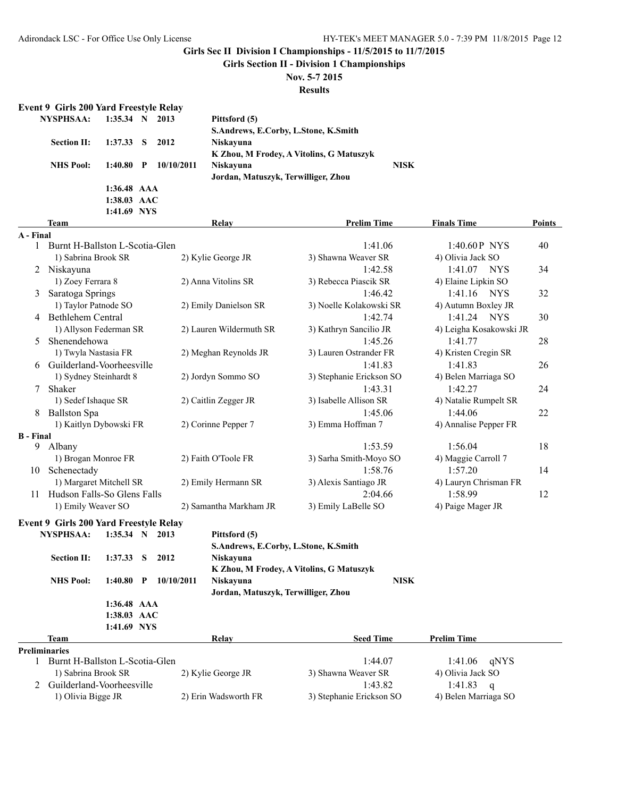**Girls Section II - Division 1 Championships**

## **Nov. 5-7 2015**

**Results**

| <b>Event 9 Girls 200 Yard Freestyle Relay</b> |             |            |                                          |             |
|-----------------------------------------------|-------------|------------|------------------------------------------|-------------|
| <b>NYSPHSAA:</b>                              | $1:35.34$ N | 2013       | Pittsford (5)                            |             |
|                                               |             |            | S.Andrews, E.Corby, L.Stone, K.Smith     |             |
| <b>Section II:</b>                            | $1:37.33$ S | 2012       | Niskayuna                                |             |
|                                               |             |            | K Zhou, M Frodey, A Vitolins, G Matuszyk |             |
| <b>NHS Pool:</b>                              | $1:40.80$ P | 10/10/2011 | <b>Niskavuna</b>                         | <b>NISK</b> |
|                                               |             |            | Jordan, Matuszyk, Terwilliger, Zhou      |             |
|                                               | 1:36.48 AAA |            |                                          |             |

**1:38.03 AAC**

|                  | 1:41.69 NYS                                   |                                      |                          |                         |               |
|------------------|-----------------------------------------------|--------------------------------------|--------------------------|-------------------------|---------------|
|                  | <b>Team</b>                                   | Relay                                | <b>Prelim Time</b>       | <b>Finals Time</b>      | <b>Points</b> |
| A - Final        |                                               |                                      |                          |                         |               |
|                  | Burnt H-Ballston L-Scotia-Glen                |                                      | 1:41.06                  | 1:40.60P NYS            | 40            |
|                  | 1) Sabrina Brook SR                           | 2) Kylie George JR                   | 3) Shawna Weaver SR      | 4) Olivia Jack SO       |               |
|                  | Niskayuna                                     |                                      | 1:42.58                  | 1:41.07<br>NYS          | 34            |
|                  | 1) Zoey Ferrara 8                             | 2) Anna Vitolins SR                  | 3) Rebecca Piascik SR    | 4) Elaine Lipkin SO     |               |
| 3                | Saratoga Springs                              |                                      | 1:46.42                  | 1:41.16 NYS             | 32            |
|                  | 1) Taylor Patnode SO                          | 2) Emily Danielson SR                | 3) Noelle Kolakowski SR  | 4) Autumn Boxley JR     |               |
| 4                | <b>Bethlehem Central</b>                      |                                      | 1:42.74                  | 1:41.24 NYS             | 30            |
|                  | 1) Allyson Federman SR                        | 2) Lauren Wildermuth SR              | 3) Kathryn Sancilio JR   | 4) Leigha Kosakowski JR |               |
| 5                | Shenendehowa                                  |                                      | 1:45.26                  | 1:41.77                 | 28            |
|                  | 1) Twyla Nastasia FR                          | 2) Meghan Reynolds JR                | 3) Lauren Ostrander FR   | 4) Kristen Cregin SR    |               |
| 6                | Guilderland-Voorheesville                     |                                      | 1:41.83                  | 1:41.83                 | 26            |
|                  | 1) Sydney Steinhardt 8                        | 2) Jordyn Sommo SO                   | 3) Stephanie Erickson SO | 4) Belen Marriaga SO    |               |
| 7                | Shaker                                        |                                      | 1:43.31                  | 1:42.27                 | 24            |
|                  | 1) Sedef Ishaque SR                           | 2) Caitlin Zegger JR                 | 3) Isabelle Allison SR   | 4) Natalie Rumpelt SR   |               |
| 8                | <b>Ballston Spa</b>                           |                                      | 1:45.06                  | 1:44.06                 | 22            |
|                  | 1) Kaitlyn Dybowski FR                        | 2) Corinne Pepper 7                  | 3) Emma Hoffman 7        | 4) Annalise Pepper FR   |               |
| <b>B</b> - Final |                                               |                                      |                          |                         |               |
| 9                | Albany                                        |                                      | 1:53.59                  | 1:56.04                 | 18            |
|                  | 1) Brogan Monroe FR                           | 2) Faith O'Toole FR                  | 3) Sarha Smith-Moyo SO   | 4) Maggie Carroll 7     |               |
| 10               | Schenectady                                   |                                      | 1:58.76                  | 1:57.20                 | 14            |
|                  | 1) Margaret Mitchell SR                       | 2) Emily Hermann SR                  | 3) Alexis Santiago JR    | 4) Lauryn Chrisman FR   |               |
| 11               | Hudson Falls-So Glens Falls                   |                                      | 2:04.66                  | 1:58.99                 | 12            |
|                  | 1) Emily Weaver SO                            | 2) Samantha Markham JR               | 3) Emily LaBelle SO      | 4) Paige Mager JR       |               |
|                  | <b>Event 9 Girls 200 Yard Freestyle Relay</b> |                                      |                          |                         |               |
|                  | <b>NYSPHSAA:</b><br>$1:35.34$ N 2013          | Pittsford (5)                        |                          |                         |               |
|                  |                                               | S.Andrews, E.Corby, L.Stone, K.Smith |                          |                         |               |
|                  | 1:37.33<br><b>Section II:</b><br>S<br>2012    | Niskavuna                            |                          |                         |               |

|                    |                           | 5.71016W3, E.CO1W, E.510H6, K.51H10H     |             |
|--------------------|---------------------------|------------------------------------------|-------------|
| <b>Section II:</b> | 1:37.33 S 2012            | <b>Niskavuna</b>                         |             |
|                    |                           | K Zhou, M Frodey, A Vitolins, G Matuszyk |             |
| <b>NHS</b> Pool:   | $1:40.80$ P<br>10/10/2011 | <b>Niskavuna</b>                         | <b>NISK</b> |
|                    |                           | Jordan, Matuszyk, Terwilliger, Zhou      |             |
|                    | $1:36.48$ AAA             |                                          |             |
|                    | $1:38.03$ AAC             |                                          |             |
|                    | 1:41.69 NYS               |                                          |             |
|                    |                           |                                          |             |

|                      | Team                           | Relay                | <b>Seed Time</b>         | <b>Prelim Time</b>   |
|----------------------|--------------------------------|----------------------|--------------------------|----------------------|
| <b>Preliminaries</b> |                                |                      |                          |                      |
|                      | Burnt H-Ballston L-Scotia-Glen |                      | 1.4407                   | 1:41.06 $qNYS$       |
|                      | 1) Sabrina Brook SR            | 2) Kylie George JR   | 3) Shawna Weaver SR      | 4) Olivia Jack SO    |
|                      | 2 Guilderland-Voorheesville    |                      | 1.43.82                  | 1:41.83<br>$\alpha$  |
|                      | 1) Olivia Bigge JR             | 2) Erin Wadsworth FR | 3) Stephanie Erickson SO | 4) Belen Marriaga SO |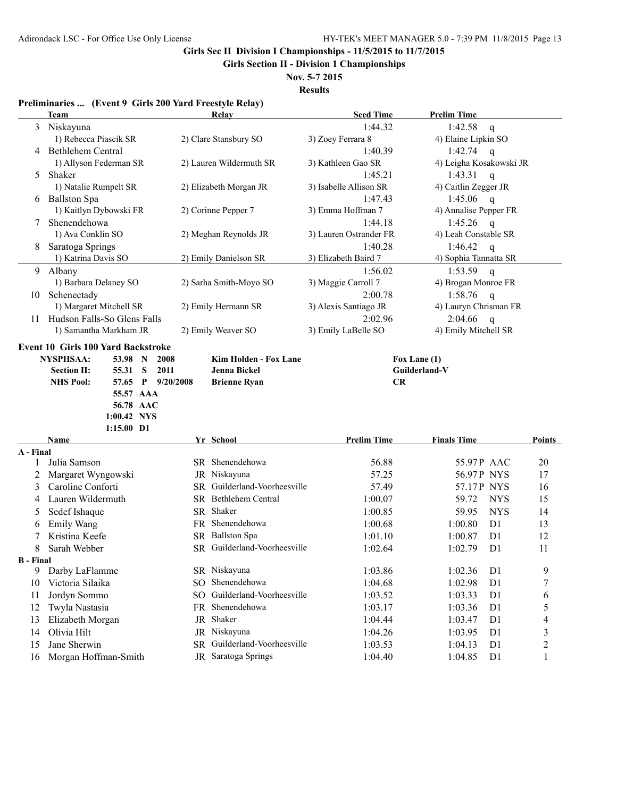**Girls Section II - Division 1 Championships**

**Nov. 5-7 2015 Results**

#### **Preliminaries ... (Event 9 Girls 200 Yard Freestyle Relay)**

|                  | communities $\mathbf{a}_1$ , $\mathbf{b}_2$ , $\mathbf{c}_3$ , $\mathbf{a}_4$ , $\mathbf{b}_5$ , $\mathbf{b}_6$ , $\mathbf{c}_7$ , $\mathbf{c}_8$ , $\mathbf{c}_9$ , $\mathbf{c}_9$<br>Team | Relay                        | <b>Seed Time</b>       | <b>Prelim Time</b>        |                          |
|------------------|---------------------------------------------------------------------------------------------------------------------------------------------------------------------------------------------|------------------------------|------------------------|---------------------------|--------------------------|
| 3                | Niskayuna                                                                                                                                                                                   |                              | 1:44.32                | 1:42.58<br>$\mathsf{q}$   |                          |
|                  | 1) Rebecca Piascik SR                                                                                                                                                                       | 2) Clare Stansbury SO        | 3) Zoey Ferrara 8      | 4) Elaine Lipkin SO       |                          |
|                  | 4 Bethlehem Central                                                                                                                                                                         |                              | 1:40.39                | 1:42.74 $q$               |                          |
|                  | 1) Allyson Federman SR                                                                                                                                                                      | 2) Lauren Wildermuth SR      | 3) Kathleen Gao SR     | 4) Leigha Kosakowski JR   |                          |
| 5                | Shaker                                                                                                                                                                                      |                              | 1:45.21                | 1:43.31<br>$\mathbf{q}$   |                          |
|                  | 1) Natalie Rumpelt SR                                                                                                                                                                       | 2) Elizabeth Morgan JR       | 3) Isabelle Allison SR | 4) Caitlin Zegger JR      |                          |
|                  | 6 Ballston Spa                                                                                                                                                                              |                              | 1:47.43                | 1:45.06 q                 |                          |
|                  | 1) Kaitlyn Dybowski FR                                                                                                                                                                      | 2) Corinne Pepper 7          | 3) Emma Hoffman 7      | 4) Annalise Pepper FR     |                          |
|                  | Shenendehowa                                                                                                                                                                                |                              | 1:44.18                | 1:45.26 q                 |                          |
|                  | 1) Ava Conklin SO                                                                                                                                                                           | 2) Meghan Reynolds JR        | 3) Lauren Ostrander FR | 4) Leah Constable SR      |                          |
| 8                | Saratoga Springs                                                                                                                                                                            |                              | 1:40.28                | 1:46.42<br>$\mathsf{q}$   |                          |
|                  | 1) Katrina Davis SO                                                                                                                                                                         | 2) Emily Danielson SR        | 3) Elizabeth Baird 7   | 4) Sophia Tannatta SR     |                          |
| 9                | Albany                                                                                                                                                                                      |                              | 1:56.02                | 1:53.59<br>$\mathbf{q}$   |                          |
|                  | 1) Barbara Delaney SO                                                                                                                                                                       | 2) Sarha Smith-Moyo SO       | 3) Maggie Carroll 7    | 4) Brogan Monroe FR       |                          |
| 10               | Schenectady                                                                                                                                                                                 |                              | 2:00.78                | 1:58.76<br>$\mathsf{q}$   |                          |
|                  | 1) Margaret Mitchell SR                                                                                                                                                                     | 2) Emily Hermann SR          | 3) Alexis Santiago JR  | 4) Lauryn Chrisman FR     |                          |
| 11               | Hudson Falls-So Glens Falls                                                                                                                                                                 |                              | 2:02.96                | 2:04.66<br>$\mathsf{q}$   |                          |
|                  | 1) Samantha Markham JR                                                                                                                                                                      | 2) Emily Weaver SO           | 3) Emily LaBelle SO    | 4) Emily Mitchell SR      |                          |
|                  | 55.57 AAA<br>56.78 AAC<br>1:00.42 NYS<br>1:15.00 D1                                                                                                                                         |                              |                        |                           |                          |
|                  | <b>Name</b>                                                                                                                                                                                 | Yr School                    | <b>Prelim Time</b>     | <b>Finals Time</b>        | Points                   |
| A - Final        |                                                                                                                                                                                             |                              |                        |                           |                          |
| 1                | Julia Samson                                                                                                                                                                                | SR Shenendehowa              | 56.88                  | 55.97P AAC                | 20                       |
| 2                | Margaret Wyngowski                                                                                                                                                                          | JR Niskayuna                 | 57.25                  | 56.97P NYS                | 17                       |
| 3                | Caroline Conforti                                                                                                                                                                           | SR Guilderland-Voorheesville | 57.49                  | 57.17P NYS                | 16                       |
| 4                | Lauren Wildermuth                                                                                                                                                                           | SR Bethlehem Central         | 1:00.07                | 59.72<br><b>NYS</b>       | 15                       |
| 5                | Sedef Ishaque                                                                                                                                                                               | SR Shaker                    | 1:00.85                | <b>NYS</b><br>59.95       | 14                       |
| 6                | Emily Wang                                                                                                                                                                                  | FR Shenendehowa              | 1:00.68                | D1<br>1:00.80             | 13                       |
|                  | Kristina Keefe                                                                                                                                                                              | SR Ballston Spa              | 1:01.10                | 1:00.87<br>D <sub>1</sub> | 12                       |
| 8                | Sarah Webber                                                                                                                                                                                | SR Guilderland-Voorheesville | 1:02.64                | 1:02.79<br>D <sub>1</sub> | 11                       |
| <b>B</b> - Final |                                                                                                                                                                                             |                              |                        |                           |                          |
| 9                | Darby LaFlamme                                                                                                                                                                              | SR Niskayuna                 | 1:03.86                | 1:02.36<br>D <sub>1</sub> | 9                        |
| 10               | Victoria Silaika                                                                                                                                                                            | SO Shenendehowa              | 1:04.68                | 1:02.98<br>D1             | $\boldsymbol{7}$         |
| 11               | Jordyn Sommo                                                                                                                                                                                | SO Guilderland-Voorheesville | 1:03.52                | 1:03.33<br>D <sub>1</sub> | 6                        |
| 12               | Twyla Nastasia                                                                                                                                                                              | FR Shenendehowa              | 1:03.17                | 1:03.36<br>D <sub>1</sub> | 5                        |
| 13               | Elizabeth Morgan                                                                                                                                                                            | JR Shaker                    | 1:04.44                | 1:03.47<br>D <sub>1</sub> | $\overline{\mathcal{L}}$ |
| 14               | Olivia Hilt                                                                                                                                                                                 | JR Niskayuna                 | 1:04.26                | 1:03.95<br>D <sub>1</sub> | $\mathfrak{Z}$           |
| 15               | Jane Sherwin                                                                                                                                                                                | SR Guilderland-Voorheesville | 1:03.53                | 1:04.13<br>D <sub>1</sub> | $\overline{c}$           |
| 16               | Morgan Hoffman-Smith                                                                                                                                                                        | JR Saratoga Springs          | 1:04.40                | 1:04.85<br>D <sub>1</sub> | $\mathbf{1}$             |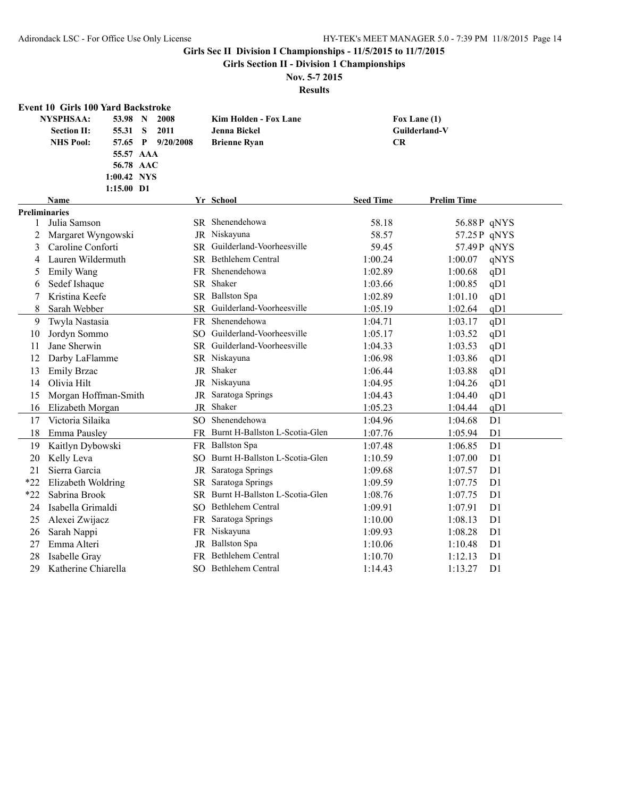**Girls Section II - Division 1 Championships**

## **Nov. 5-7 2015**

|       | <b>Event 10 Girls 100 Yard Backstroke</b> |           |                                   |                  |                    |                |
|-------|-------------------------------------------|-----------|-----------------------------------|------------------|--------------------|----------------|
|       | <b>NYSPHSAA:</b><br>53.98<br>N            | 2008      | Kim Holden - Fox Lane             |                  | Fox Lane (1)       |                |
|       | S<br><b>Section II:</b><br>55.31          | 2011      | Jenna Bickel                      |                  | Guilderland-V      |                |
|       | <b>NHS Pool:</b><br>57.65 P               | 9/20/2008 | <b>Brienne Ryan</b>               | CR               |                    |                |
|       | 55.57 AAA                                 |           |                                   |                  |                    |                |
|       | 56.78 AAC                                 |           |                                   |                  |                    |                |
|       | 1:00.42 NYS                               |           |                                   |                  |                    |                |
|       | 1:15.00 D1                                |           |                                   |                  |                    |                |
|       | Name                                      |           | Yr School                         | <b>Seed Time</b> | <b>Prelim Time</b> |                |
|       | <b>Preliminaries</b>                      |           |                                   |                  |                    |                |
| 1     | Julia Samson                              |           | SR Shenendehowa                   | 58.18            | 56.88P qNYS        |                |
| 2     | Margaret Wyngowski                        |           | JR Niskayuna                      | 58.57            | 57.25 P qNYS       |                |
| 3     | Caroline Conforti                         | SR        | Guilderland-Voorheesville         | 59.45            | 57.49P qNYS        |                |
| 4     | Lauren Wildermuth                         | SR.       | <b>Bethlehem Central</b>          | 1:00.24          | 1:00.07            | qNYS           |
| 5     | Emily Wang                                | FR        | Shenendehowa                      | 1:02.89          | 1:00.68            | qD1            |
| 6     | Sedef Ishaque                             | <b>SR</b> | Shaker                            | 1:03.66          | 1:00.85            | qD1            |
| 7     | Kristina Keefe                            |           | SR Ballston Spa                   | 1:02.89          | 1:01.10            | qD1            |
| 8     | Sarah Webber                              |           | SR Guilderland-Voorheesville      | 1:05.19          | 1:02.64            | qD1            |
| 9     | Twyla Nastasia                            |           | FR Shenendehowa                   | 1:04.71          | 1:03.17            | qD1            |
| 10    | Jordyn Sommo                              |           | SO Guilderland-Voorheesville      | 1:05.17          | 1:03.52            | qD1            |
| 11    | Jane Sherwin                              |           | SR Guilderland-Voorheesville      | 1:04.33          | 1:03.53            | qD1            |
| 12    | Darby LaFlamme                            |           | SR Niskayuna                      | 1:06.98          | 1:03.86            | qD1            |
| 13    | <b>Emily Brzac</b>                        | JR        | Shaker                            | 1:06.44          | 1:03.88            | qD1            |
| 14    | Olivia Hilt                               |           | JR Niskayuna                      | 1:04.95          | 1:04.26            | qD1            |
| 15    | Morgan Hoffman-Smith                      | JR        | Saratoga Springs                  | 1:04.43          | 1:04.40            | qD1            |
| 16    | Elizabeth Morgan                          |           | JR Shaker                         | 1:05.23          | 1:04.44            | qD1            |
| 17    | Victoria Silaika                          |           | SO Shenendehowa                   | 1:04.96          | 1:04.68            | D1             |
| 18    | Emma Pausley                              |           | FR Burnt H-Ballston L-Scotia-Glen | 1:07.76          | 1:05.94            | D1             |
| 19    | Kaitlyn Dybowski                          |           | FR Ballston Spa                   | 1:07.48          | 1:06.85            | D1             |
| 20    | Kelly Leva                                |           | SO Burnt H-Ballston L-Scotia-Glen | 1:10.59          | 1:07.00            | D1             |
| 21    | Sierra Garcia                             | JR        | Saratoga Springs                  | 1:09.68          | 1:07.57            | D1             |
| $*22$ | Elizabeth Woldring                        | SR        | Saratoga Springs                  | 1:09.59          | 1:07.75            | D <sub>1</sub> |
| $*22$ | Sabrina Brook                             |           | SR Burnt H-Ballston L-Scotia-Glen | 1:08.76          | 1:07.75            | D1             |
| 24    | Isabella Grimaldi                         |           | SO Bethlehem Central              | 1:09.91          | 1:07.91            | D1             |
| 25    | Alexei Zwijacz                            | FR        | Saratoga Springs                  | 1:10.00          | 1:08.13            | D1             |
| 26    | Sarah Nappi                               |           | FR Niskayuna                      | 1:09.93          | 1:08.28            | D1             |
| 27    | Emma Alteri                               |           | JR Ballston Spa                   | 1:10.06          | 1:10.48            | D <sub>1</sub> |
| 28    | Isabelle Gray                             | FR        | Bethlehem Central                 | 1:10.70          | 1:12.13            | D1             |
| 29    | Katherine Chiarella                       |           | SO Bethlehem Central              | 1:14.43          | 1:13.27            | D <sub>1</sub> |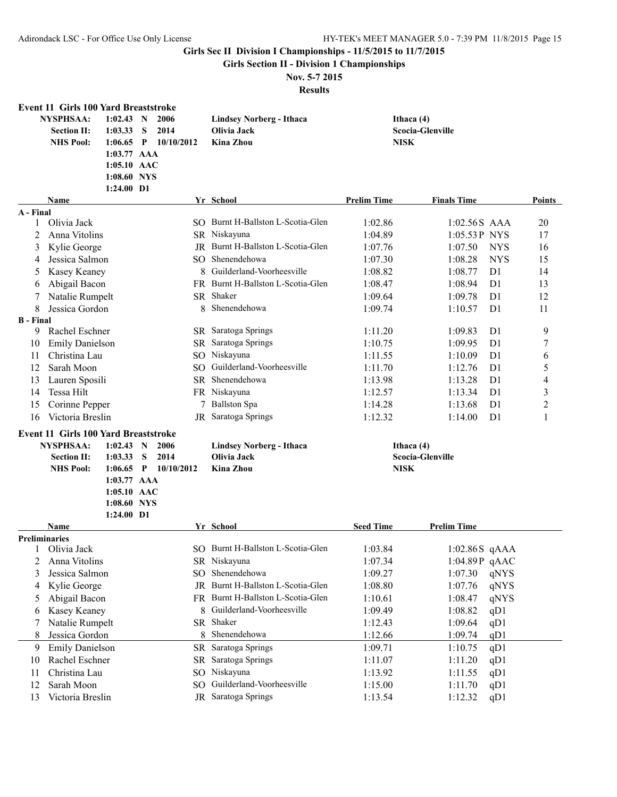**Girls Section II - Division 1 Championships**

### **Nov. 5-7 2015**

|                  | <b>Event 11 Girls 100 Yard Breaststroke</b> |                           |              |            |    |                                          |                    |                         |                |                          |
|------------------|---------------------------------------------|---------------------------|--------------|------------|----|------------------------------------------|--------------------|-------------------------|----------------|--------------------------|
|                  | <b>NYSPHSAA:</b>                            | $1:02.43$ N               |              | 2006       |    | <b>Lindsey Norberg - Ithaca</b>          | Ithaca (4)         |                         |                |                          |
|                  | <b>Section II:</b>                          | 1:03.33                   | S            | 2014       |    | Olivia Jack                              |                    | <b>Scocia-Glenville</b> |                |                          |
|                  | <b>NHS Pool:</b>                            | 1:06.65                   | $\mathbf{P}$ | 10/10/2012 |    | <b>Kina Zhou</b>                         | <b>NISK</b>        |                         |                |                          |
|                  |                                             | $1:03.77$ AAA             |              |            |    |                                          |                    |                         |                |                          |
|                  |                                             | 1:05.10 AAC               |              |            |    |                                          |                    |                         |                |                          |
|                  |                                             | 1:08.60 NYS<br>1:24.00 D1 |              |            |    |                                          |                    |                         |                |                          |
|                  | Name                                        |                           |              |            |    | Yr School                                | <b>Prelim Time</b> | <b>Finals Time</b>      |                | Points                   |
| A - Final        |                                             |                           |              |            |    |                                          |                    |                         |                |                          |
| 1                | Olivia Jack                                 |                           |              |            |    | SO Burnt H-Ballston L-Scotia-Glen        | 1:02.86            | $1:02.56S$ AAA          |                | 20                       |
| 2                | Anna Vitolins                               |                           |              |            |    | SR Niskayuna                             | 1:04.89            | 1:05.53P NYS            |                | 17                       |
| 3                | Kylie George                                |                           |              |            |    | <b>IR</b> Burnt H-Ballston L-Scotia-Glen | 1:07.76            | 1:07.50                 | <b>NYS</b>     | 16                       |
| 4                | Jessica Salmon                              |                           |              | SO.        |    | Shenendehowa                             | 1:07.30            | 1:08.28                 | <b>NYS</b>     | 15                       |
| 5                | Kasey Keaney                                |                           |              |            | 8  | Guilderland-Voorheesville                | 1:08.82            | 1:08.77                 | D <sub>1</sub> | 14                       |
| 6                | Abigail Bacon                               |                           |              | FR.        |    | Burnt H-Ballston L-Scotia-Glen           | 1:08.47            | 1:08.94                 | D <sub>1</sub> | 13                       |
| 7                | Natalie Rumpelt                             |                           |              |            |    | SR Shaker                                | 1:09.64            | 1:09.78                 | D1             | 12                       |
| 8                | Jessica Gordon                              |                           |              |            | 8  | Shenendehowa                             | 1:09.74            | 1:10.57                 | D <sub>1</sub> | 11                       |
| <b>B</b> - Final |                                             |                           |              |            |    |                                          |                    |                         |                |                          |
| 9                | Rachel Eschner                              |                           |              |            |    | SR Saratoga Springs                      | 1:11.20            | 1:09.83                 | D1             | 9                        |
| 10               | <b>Emily Danielson</b>                      |                           |              |            |    | SR Saratoga Springs                      | 1:10.75            | 1:09.95                 | D <sub>1</sub> | $\boldsymbol{7}$         |
| 11               | Christina Lau                               |                           |              |            |    | SO Niskayuna                             | 1:11.55            | 1:10.09                 | D <sub>1</sub> | 6                        |
| 12               | Sarah Moon                                  |                           |              |            |    | SO Guilderland-Voorheesville             | 1:11.70            | 1:12.76                 | D <sub>1</sub> | 5                        |
| 13               | Lauren Sposili                              |                           |              |            |    | SR Shenendehowa                          | 1:13.98            | 1:13.28                 | D <sub>1</sub> | $\overline{\mathcal{A}}$ |
| 14               | Tessa Hilt                                  |                           |              |            |    | FR Niskayuna                             | 1:12.57            | 1:13.34                 | D <sub>1</sub> | $\mathfrak{Z}$           |
| 15               | Corinne Pepper                              |                           |              |            | 7  | <b>Ballston Spa</b>                      | 1:14.28            | 1:13.68                 | D <sub>1</sub> | $\overline{c}$           |
| 16               | Victoria Breslin                            |                           |              |            | JR | Saratoga Springs                         | 1:12.32            | 1:14.00                 | D <sub>1</sub> | 1                        |
|                  | <b>Event 11 Girls 100 Yard Breaststroke</b> |                           |              |            |    |                                          |                    |                         |                |                          |
|                  | <b>NYSPHSAA:</b>                            | $1:02.43$ N               |              | 2006       |    | <b>Lindsey Norberg - Ithaca</b>          | Ithaca $(4)$       |                         |                |                          |
|                  | <b>Section II:</b>                          | 1:03.33                   | S            | 2014       |    | Olivia Jack                              |                    | <b>Scocia-Glenville</b> |                |                          |
|                  | <b>NHS Pool:</b>                            | 1:06.65                   | $\mathbf{P}$ | 10/10/2012 |    | <b>Kina Zhou</b>                         | <b>NISK</b>        |                         |                |                          |
|                  |                                             | $1:03.77$ AAA             |              |            |    |                                          |                    |                         |                |                          |
|                  |                                             | 1:05.10 AAC               |              |            |    |                                          |                    |                         |                |                          |
|                  |                                             | 1:08.60 NYS               |              |            |    |                                          |                    |                         |                |                          |
|                  |                                             | $1:24.00$ D1              |              |            |    |                                          |                    |                         |                |                          |
|                  | Name                                        |                           |              |            |    | Yr School                                | <b>Seed Time</b>   | <b>Prelim Time</b>      |                |                          |
|                  | <b>Preliminaries</b>                        |                           |              |            |    |                                          |                    |                         |                |                          |
|                  | Olivia Jack                                 |                           |              |            |    | SO Burnt H-Ballston L-Scotia-Glen        | 1:03.84            | $1:02.86S$ qAAA         |                |                          |
| 2                | Anna Vitolins                               |                           |              |            |    | SR Niskayuna                             | 1:07.34            | 1:04.89P qAAC           |                |                          |
| 3                | Jessica Salmon                              |                           |              | SO.        |    | Shenendehowa                             | 1:09.27            | 1:07.30                 | qNYS           |                          |
| 4                | Kylie George                                |                           |              | JR.        |    | Burnt H-Ballston L-Scotia-Glen           | 1:08.80            | 1:07.76                 | qNYS           |                          |
| 5                | Abigail Bacon                               |                           |              |            |    | FR Burnt H-Ballston L-Scotia-Glen        | 1:10.61            | 1:08.47                 | qNYS           |                          |
| 6                | Kasey Keaney                                |                           |              |            | 8  | Guilderland-Voorheesville                | 1:09.49            | 1:08.82                 | qD1            |                          |
|                  | Natalie Rumpelt                             |                           |              |            |    | SR Shaker                                | 1:12.43            | 1:09.64                 | qD1            |                          |
| 8                | Jessica Gordon                              |                           |              |            | 8  | Shenendehowa                             | 1:12.66            | 1:09.74                 | qD1            |                          |
| 9                | <b>Emily Danielson</b>                      |                           |              |            |    | SR Saratoga Springs                      | 1:09.71            | 1:10.75                 | qD1            |                          |
| 10               | Rachel Eschner                              |                           |              |            |    | SR Saratoga Springs                      | 1:11.07            | 1:11.20                 | qD1            |                          |
| 11               | Christina Lau                               |                           |              |            |    | SO Niskayuna                             | 1:13.92            | 1:11.55                 | qD1            |                          |
| 12               | Sarah Moon                                  |                           |              |            |    | SO Guilderland-Voorheesville             | 1:15.00            | 1:11.70                 | qD1            |                          |
| 13               | Victoria Breslin                            |                           |              |            |    | JR Saratoga Springs                      | 1:13.54            | 1:12.32                 | qD1            |                          |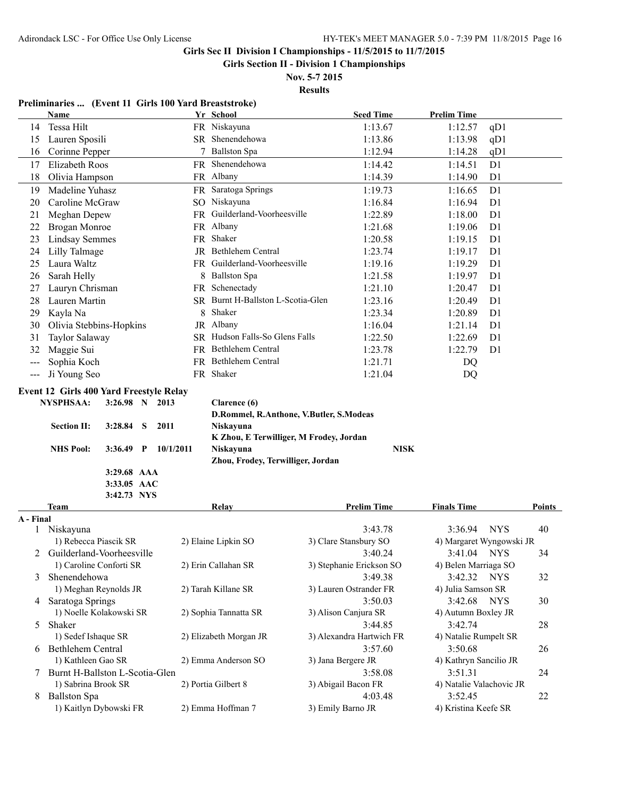**Girls Section II - Division 1 Championships**

**Nov. 5-7 2015 Results**

## **Preliminaries ... (Event 11 Girls 100 Yard Breaststroke)**

|                     | Name                                           | Yr School                               | <b>Seed Time</b>         | <b>Prelim Time</b>        |        |
|---------------------|------------------------------------------------|-----------------------------------------|--------------------------|---------------------------|--------|
| 14                  | Tessa Hilt                                     | FR Niskayuna                            | 1:13.67                  | 1:12.57<br>qD1            |        |
| 15                  | Lauren Sposili                                 | SR Shenendehowa                         | 1:13.86                  | 1:13.98<br>qD1            |        |
| 16                  | Corinne Pepper                                 | 7 Ballston Spa                          | 1:12.94                  | 1:14.28<br>qD1            |        |
| 17                  | Elizabeth Roos                                 | FR Shenendehowa                         | 1:14.42                  | D1<br>1:14.51             |        |
| 18                  | Olivia Hampson                                 | FR Albany                               | 1:14.39                  | D1<br>1:14.90             |        |
| 19                  | Madeline Yuhasz                                | FR Saratoga Springs                     | 1:19.73                  | D1<br>1:16.65             |        |
| 20                  | Caroline McGraw                                | SO Niskayuna                            | 1:16.84                  | 1:16.94<br>D <sub>1</sub> |        |
| 21                  | Meghan Depew                                   | FR Guilderland-Voorheesville            | 1:22.89                  | 1:18.00<br>D <sub>1</sub> |        |
| 22                  | Brogan Monroe                                  | FR Albany                               | 1:21.68                  | D1<br>1:19.06             |        |
| 23                  | <b>Lindsay Semmes</b>                          | FR Shaker                               | 1:20.58                  | D1<br>1:19.15             |        |
| 24                  | Lilly Talmage                                  | JR Bethlehem Central                    | 1:23.74                  | D <sub>1</sub><br>1:19.17 |        |
| 25                  | Laura Waltz                                    | FR Guilderland-Voorheesville            | 1:19.16                  | D <sub>1</sub><br>1:19.29 |        |
| 26                  | Sarah Helly                                    | 8 Ballston Spa                          | 1:21.58                  | D <sub>1</sub><br>1:19.97 |        |
| 27                  | Lauryn Chrisman                                | FR Schenectady                          | 1:21.10                  | D <sub>1</sub><br>1:20.47 |        |
| 28                  | Lauren Martin                                  | SR Burnt H-Ballston L-Scotia-Glen       | 1:23.16                  | D <sub>1</sub><br>1:20.49 |        |
| 29                  | Kayla Na                                       | 8 Shaker                                | 1:23.34                  | D <sub>1</sub><br>1:20.89 |        |
| 30                  | Olivia Stebbins-Hopkins                        | JR Albany                               | 1:16.04                  | D <sub>1</sub><br>1:21.14 |        |
| 31                  | Taylor Salaway                                 | SR Hudson Falls-So Glens Falls          | 1:22.50                  | D <sub>1</sub><br>1:22.69 |        |
| 32                  | Maggie Sui                                     | FR Bethlehem Central                    | 1:23.78                  | 1:22.79<br>D <sub>1</sub> |        |
|                     | Sophia Koch                                    | FR Bethlehem Central                    | 1:21.71                  |                           |        |
| $\qquad \qquad - -$ |                                                | FR Shaker                               |                          | DQ                        |        |
| $\frac{1}{2}$       | Ji Young Seo                                   |                                         | 1:21.04                  | DQ                        |        |
|                     | <b>Event 12 Girls 400 Yard Freestyle Relay</b> |                                         |                          |                           |        |
|                     | <b>NYSPHSAA:</b><br>$3:26.98$ N 2013           | Clarence (6)                            |                          |                           |        |
|                     |                                                | D.Rommel, R.Anthone, V.Butler, S.Modeas |                          |                           |        |
|                     | <b>Section II:</b><br>3:28.84<br>2011<br>S     | Niskayuna                               |                          |                           |        |
|                     |                                                | K Zhou, E Terwilliger, M Frodey, Jordan |                          |                           |        |
|                     | <b>NHS Pool:</b><br>3:36.49<br>$P = 10/1/2011$ | Niskayuna                               | <b>NISK</b>              |                           |        |
|                     | 3:29.68 AAA                                    | Zhou, Frodey, Terwilliger, Jordan       |                          |                           |        |
|                     | 3:33.05 AAC                                    |                                         |                          |                           |        |
|                     | 3:42.73 NYS                                    |                                         |                          |                           |        |
|                     | <b>Team</b>                                    | Relay                                   | <b>Prelim Time</b>       | <b>Finals Time</b>        | Points |
| A - Final           |                                                |                                         |                          |                           |        |
|                     | 1 Niskayuna                                    |                                         | 3:43.78                  | 3:36.94<br><b>NYS</b>     | 40     |
|                     | 1) Rebecca Piascik SR                          | 2) Elaine Lipkin SO                     | 3) Clare Stansbury SO    | 4) Margaret Wyngowski JR  |        |
|                     | 2 Guilderland-Voorheesville                    |                                         | 3:40.24                  | 3:41.04<br><b>NYS</b>     | 34     |
|                     | 1) Caroline Conforti SR                        | 2) Erin Callahan SR                     |                          | 4) Belen Marriaga SO      |        |
| 3                   | Shenendehowa                                   |                                         | 3) Stephanie Erickson SO |                           | 32     |
|                     |                                                |                                         | 3:49.38                  | 3:42.32<br><b>NYS</b>     |        |
|                     | 1) Meghan Reynolds JR                          | 2) Tarah Killane SR                     | 3) Lauren Ostrander FR   | 4) Julia Samson SR        |        |
|                     | 4 Saratoga Springs                             |                                         | 3:50.03                  | 3:42.68<br><b>NYS</b>     | 30     |
|                     | 1) Noelle Kolakowski SR                        | 2) Sophia Tannatta SR                   | 3) Alison Canjura SR     | 4) Autumn Boxley JR       |        |
| 5                   | Shaker                                         |                                         | 3:44.85                  | 3:42.74                   | 28     |
|                     | 1) Sedef Ishaque SR                            | 2) Elizabeth Morgan JR                  | 3) Alexandra Hartwich FR | 4) Natalie Rumpelt SR     |        |
| 6                   | Bethlehem Central                              |                                         | 3:57.60                  | 3:50.68                   | 26     |
|                     | 1) Kathleen Gao SR                             | 2) Emma Anderson SO                     | 3) Jana Bergere JR       | 4) Kathryn Sancilio JR    |        |
| 7                   | Burnt H-Ballston L-Scotia-Glen                 |                                         | 3:58.08                  | 3:51.31                   | 24     |
|                     | 1) Sabrina Brook SR                            | 2) Portia Gilbert 8                     | 3) Abigail Bacon FR      | 4) Natalie Valachovic JR  |        |
| 8                   | <b>Ballston Spa</b>                            |                                         | 4:03.48                  | 3:52.45                   | 22     |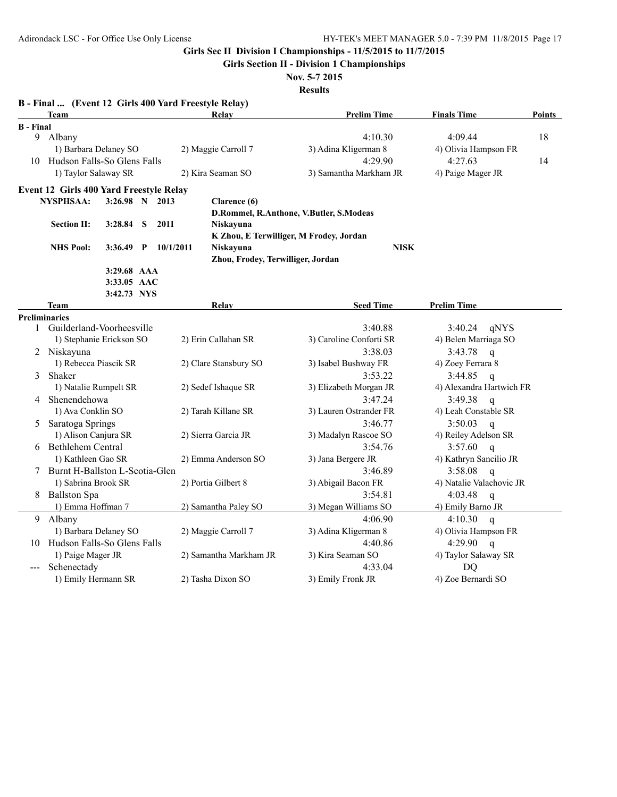**Girls Section II - Division 1 Championships**

**Nov. 5-7 2015 Results**

|                  | <b>Team</b>                             |                |   |           | B - Final  (Event 12 Girls 400 Yard Freestyle Relay)<br>Relay | <b>Prelim Time</b>                      | <b>Finals Time</b>       | Points |
|------------------|-----------------------------------------|----------------|---|-----------|---------------------------------------------------------------|-----------------------------------------|--------------------------|--------|
| <b>B</b> - Final |                                         |                |   |           |                                                               |                                         |                          |        |
|                  | 9 Albany                                |                |   |           |                                                               | 4:10.30                                 | 4:09.44                  | 18     |
|                  | 1) Barbara Delaney SO                   |                |   |           | 2) Maggie Carroll 7                                           | 3) Adina Kligerman 8                    | 4) Olivia Hampson FR     |        |
|                  | 10 Hudson Falls-So Glens Falls          |                |   |           |                                                               | 4:29.90                                 | 4:27.63                  | 14     |
|                  | 1) Taylor Salaway SR                    |                |   |           | 2) Kira Seaman SO                                             | 3) Samantha Markham JR                  | 4) Paige Mager JR        |        |
|                  | Event 12 Girls 400 Yard Freestyle Relay |                |   |           |                                                               |                                         |                          |        |
|                  | <b>NYSPHSAA:</b>                        | 3:26.98 N 2013 |   |           | Clarence (6)                                                  |                                         |                          |        |
|                  |                                         |                |   |           |                                                               | D.Rommel, R.Anthone, V.Butler, S.Modeas |                          |        |
|                  | <b>Section II:</b>                      | 3:28.84        | S | 2011      | Niskayuna                                                     |                                         |                          |        |
|                  |                                         |                |   |           | K Zhou, E Terwilliger, M Frodey, Jordan                       |                                         |                          |        |
|                  | <b>NHS Pool:</b>                        | $3:36.49$ P    |   | 10/1/2011 | Niskayuna                                                     | <b>NISK</b>                             |                          |        |
|                  |                                         |                |   |           | Zhou, Frodey, Terwilliger, Jordan                             |                                         |                          |        |
|                  |                                         | 3:29.68 AAA    |   |           |                                                               |                                         |                          |        |
|                  |                                         | 3:33.05 AAC    |   |           |                                                               |                                         |                          |        |
|                  |                                         | 3:42.73 NYS    |   |           |                                                               |                                         |                          |        |
|                  | Team                                    |                |   |           | Relay                                                         | <b>Seed Time</b>                        | <b>Prelim Time</b>       |        |
|                  | <b>Preliminaries</b>                    |                |   |           |                                                               |                                         |                          |        |
|                  | 1 Guilderland-Voorheesville             |                |   |           |                                                               | 3:40.88                                 | 3:40.24<br>qNYS          |        |
|                  | 1) Stephanie Erickson SO                |                |   |           | 2) Erin Callahan SR                                           | 3) Caroline Conforti SR                 | 4) Belen Marriaga SO     |        |
|                  | 2 Niskayuna                             |                |   |           |                                                               | 3:38.03                                 | 3:43.78<br>$\mathbf{q}$  |        |
|                  | 1) Rebecca Piascik SR                   |                |   |           | 2) Clare Stansbury SO                                         | 3) Isabel Bushway FR                    | 4) Zoey Ferrara 8        |        |
| 3                | Shaker                                  |                |   |           |                                                               | 3:53.22                                 | 3:44.85<br>$\mathsf{q}$  |        |
|                  | 1) Natalie Rumpelt SR                   |                |   |           | 2) Sedef Ishaque SR                                           | 3) Elizabeth Morgan JR                  | 4) Alexandra Hartwich FR |        |
|                  | 4 Shenendehowa                          |                |   |           |                                                               | 3:47.24                                 | 3:49.38<br>$\mathbf{q}$  |        |
|                  | 1) Ava Conklin SO                       |                |   |           | 2) Tarah Killane SR                                           | 3) Lauren Ostrander FR                  | 4) Leah Constable SR     |        |
| 5                | Saratoga Springs                        |                |   |           |                                                               | 3:46.77                                 | 3:50.03<br>$\mathbf q$   |        |
|                  | 1) Alison Canjura SR                    |                |   |           | 2) Sierra Garcia JR                                           | 3) Madalyn Rascoe SO                    | 4) Reiley Adelson SR     |        |
|                  | 6 Bethlehem Central                     |                |   |           |                                                               | 3:54.76                                 | 3:57.60<br>$\mathbf q$   |        |
|                  | 1) Kathleen Gao SR                      |                |   |           | 2) Emma Anderson SO                                           | 3) Jana Bergere JR                      | 4) Kathryn Sancilio JR   |        |
|                  | 7 Burnt H-Ballston L-Scotia-Glen        |                |   |           |                                                               | 3:46.89                                 | 3:58.08<br>$\mathbf q$   |        |
|                  | 1) Sabrina Brook SR                     |                |   |           | 2) Portia Gilbert 8                                           | 3) Abigail Bacon FR                     | 4) Natalie Valachovic JR |        |
| 8                | <b>Ballston Spa</b>                     |                |   |           |                                                               | 3:54.81                                 | 4:03.48<br>$\mathbf{q}$  |        |
|                  | 1) Emma Hoffman 7                       |                |   |           | 2) Samantha Paley SO                                          | 3) Megan Williams SO                    | 4) Emily Barno JR        |        |
| 9                | Albany                                  |                |   |           |                                                               | 4:06.90                                 | 4:10.30<br>$\mathsf{q}$  |        |
|                  | 1) Barbara Delaney SO                   |                |   |           | 2) Maggie Carroll 7                                           | 3) Adina Kligerman 8                    | 4) Olivia Hampson FR     |        |
|                  | 10 Hudson Falls-So Glens Falls          |                |   |           |                                                               | 4:40.86                                 | 4:29.90<br>$\mathbf{q}$  |        |
|                  | 1) Paige Mager JR                       |                |   |           | 2) Samantha Markham JR                                        | 3) Kira Seaman SO                       | 4) Taylor Salaway SR     |        |
|                  | Schenectady                             |                |   |           |                                                               | 4:33.04                                 | <b>DQ</b>                |        |
|                  | 1) Emily Hermann SR                     |                |   |           | 2) Tasha Dixon SO                                             | 3) Emily Fronk JR                       | 4) Zoe Bernardi SO       |        |